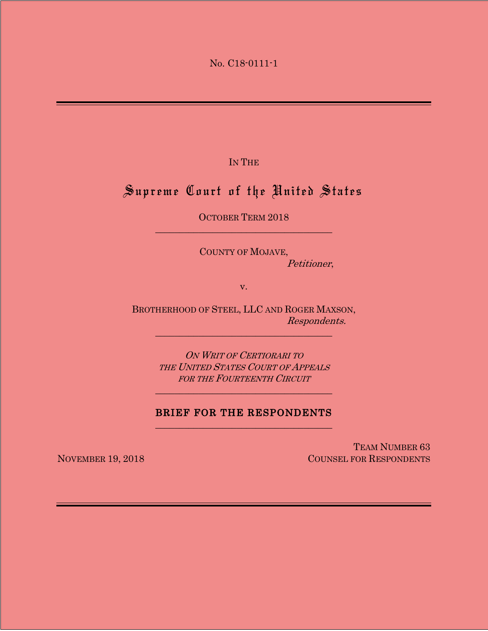No. C18-0111-1

IN THE

# Supreme Court of the United States

OCTOBER TERM 2018 \_\_\_\_\_\_\_\_\_\_\_\_\_\_\_\_\_\_\_\_\_\_\_\_\_\_\_\_\_\_\_\_\_\_\_\_\_

> COUNTY OF MOJAVE, Petitioner,

> > v.

BROTHERHOOD OF STEEL, LLC AND ROGER MAXSON, Respondents.

\_\_\_\_\_\_\_\_\_\_\_\_\_\_\_\_\_\_\_\_\_\_\_\_\_\_\_\_\_\_\_\_\_\_\_\_\_

ON WRIT OF CERTIORARI TO THE UNITED STATES COURT OF APPEALS FOR THE FOURTEENTH CIRCUIT

\_\_\_\_\_\_\_\_\_\_\_\_\_\_\_\_\_\_\_\_\_\_\_\_\_\_\_\_\_\_\_\_\_\_\_\_\_

## BRIEF FOR THE RESPONDENTS \_\_\_\_\_\_\_\_\_\_\_\_\_\_\_\_\_\_\_\_\_\_\_\_\_\_\_\_\_\_\_\_\_\_\_\_\_

TEAM NUMBER 63 NOVEMBER 19, 2018 COUNSEL FOR RESPONDENTS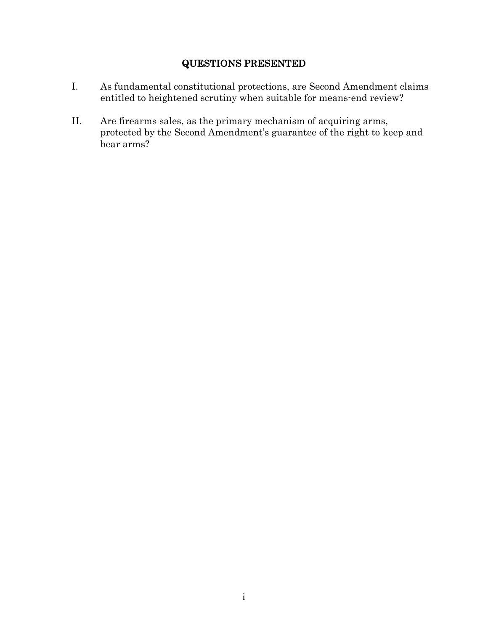## QUESTIONS PRESENTED

- I. As fundamental constitutional protections, are Second Amendment claims entitled to heightened scrutiny when suitable for means-end review?
- II. Are firearms sales, as the primary mechanism of acquiring arms, protected by the Second Amendment's guarantee of the right to keep and bear arms?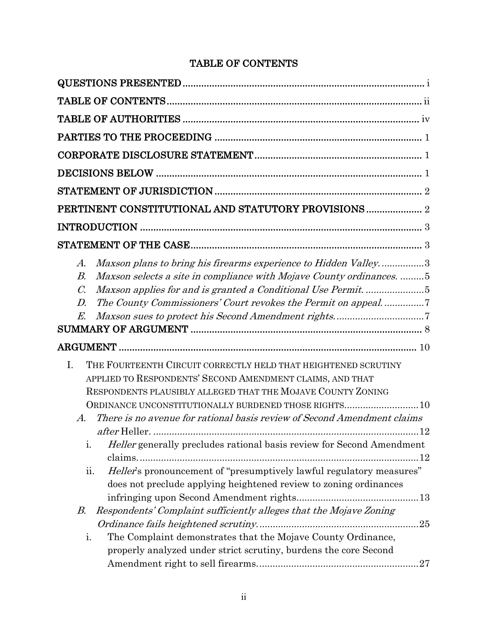## TABLE OF CONTENTS

| Maxson plans to bring his firearms experience to Hidden Valley3<br>$A$ .<br>Maxson selects a site in compliance with Mojave County ordinances. 5<br>$B_{\cdot}$<br>$\mathcal{C}$<br>D.<br>E.                                                                                                                                                                 |  |
|--------------------------------------------------------------------------------------------------------------------------------------------------------------------------------------------------------------------------------------------------------------------------------------------------------------------------------------------------------------|--|
|                                                                                                                                                                                                                                                                                                                                                              |  |
| I.<br>THE FOURTEENTH CIRCUIT CORRECTLY HELD THAT HEIGHTENED SCRUTINY<br>APPLIED TO RESPONDENTS' SECOND AMENDMENT CLAIMS, AND THAT<br>RESPONDENTS PLAUSIBLY ALLEGED THAT THE MOJAVE COUNTY ZONING<br>ORDINANCE UNCONSTITUTIONALLY BURDENED THOSE RIGHTS10<br>There is no avenue for rational basis review of Second Amendment claims<br>$\mathcal{A}_{\cdot}$ |  |
| i.<br><i>Heller</i> generally precludes rational basis review for Second Amendment<br><i>Heller's</i> pronouncement of "presumptively lawful regulatory measures"<br>ii.<br>does not preclude applying heightened review to zoning ordinances                                                                                                                |  |
| Respondents' Complaint sufficiently alleges that the Mojave Zoning<br>В.<br>The Complaint demonstrates that the Mojave County Ordinance,<br>i.                                                                                                                                                                                                               |  |
| properly analyzed under strict scrutiny, burdens the core Second                                                                                                                                                                                                                                                                                             |  |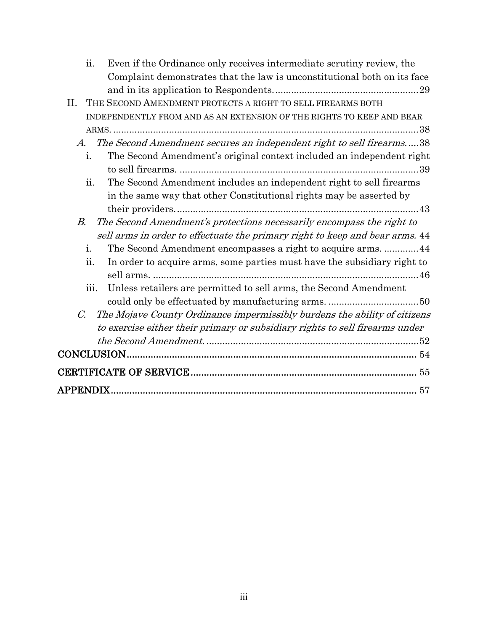| ii.<br>Even if the Ordinance only receives intermediate scrutiny review, the                           |
|--------------------------------------------------------------------------------------------------------|
| Complaint demonstrates that the law is unconstitutional both on its face                               |
|                                                                                                        |
| THE SECOND AMENDMENT PROTECTS A RIGHT TO SELL FIREARMS BOTH<br>II.                                     |
| INDEPENDENTLY FROM AND AS AN EXTENSION OF THE RIGHTS TO KEEP AND BEAR                                  |
|                                                                                                        |
| The Second Amendment secures an independent right to sell firearms38<br>А.                             |
| The Second Amendment's original context included an independent right<br>i.                            |
|                                                                                                        |
| The Second Amendment includes an independent right to sell firearms<br>ii.                             |
| in the same way that other Constitutional rights may be asserted by                                    |
|                                                                                                        |
| The Second Amendment's protections necessarily encompass the right to<br>В.                            |
| sell arms in order to effectuate the primary right to keep and bear arms. 44                           |
| i.<br>The Second Amendment encompasses a right to acquire arms.  44                                    |
| In order to acquire arms, some parties must have the subsidiary right to<br>$\overline{\mathbf{11}}$ . |
|                                                                                                        |
| Unless retailers are permitted to sell arms, the Second Amendment<br>iii.                              |
|                                                                                                        |
| The Mojave County Ordinance impermissibly burdens the ability of citizens<br>$\mathcal{C}$             |
| to exercise either their primary or subsidiary rights to sell firearms under                           |
|                                                                                                        |
|                                                                                                        |
|                                                                                                        |
|                                                                                                        |
| <b>APPENDIX</b>                                                                                        |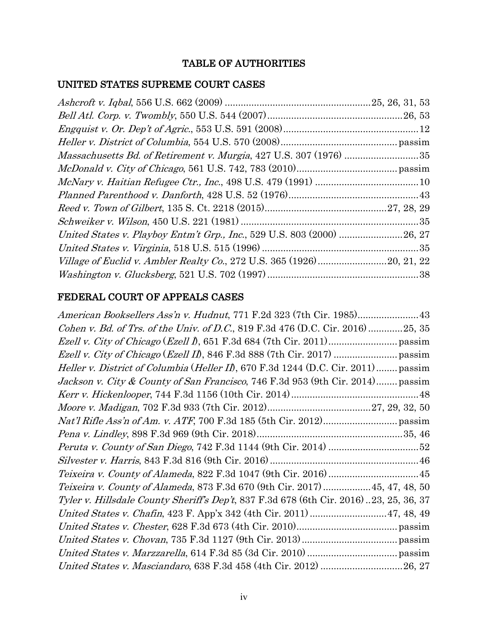## TABLE OF AUTHORITIES

## UNITED STATES SUPREME COURT CASES

## FEDERAL COURT OF APPEALS CASES

| American Booksellers Ass'n v. Hudnut, 771 F.2d 323 (7th Cir. 1985)43                              |
|---------------------------------------------------------------------------------------------------|
| Cohen v. Bd. of Trs. of the Univ. of D.C., 819 F.3d 476 (D.C. Cir. 2016)25, 35                    |
|                                                                                                   |
|                                                                                                   |
| <i>Heller v. District of Columbia</i> ( <i>Heller II</i> ), 670 F.3d 1244 (D.C. Cir. 2011) passim |
| Jackson v. City & County of San Francisco, 746 F.3d 953 (9th Cir. 2014) passim                    |
|                                                                                                   |
|                                                                                                   |
|                                                                                                   |
|                                                                                                   |
|                                                                                                   |
|                                                                                                   |
|                                                                                                   |
| Teixeira v. County of Alameda, 873 F.3d 670 (9th Cir. 2017)  45, 47, 48, 50                       |
| <i>Tyler v. Hillsdale County Sheriff's Dep't,</i> 837 F.3d 678 (6th Cir. 2016)23, 25, 36, 37      |
| United States v. Chafin, 423 F. App'x 342 (4th Cir. 2011)  47, 48, 49                             |
|                                                                                                   |
|                                                                                                   |
|                                                                                                   |
| United States v. Masciandaro, 638 F.3d 458 (4th Cir. 2012) 26, 27                                 |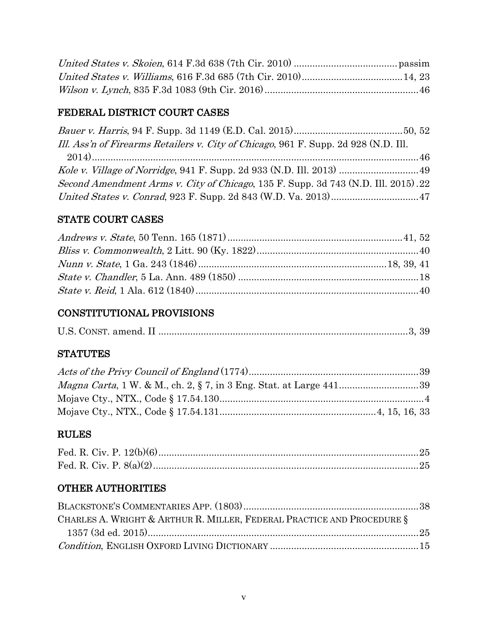## FEDERAL DISTRICT COURT CASES

| Ill. Ass'n of Firearms Retailers v. City of Chicago, 961 F. Supp. 2d 928 (N.D. Ill. |  |
|-------------------------------------------------------------------------------------|--|
|                                                                                     |  |
|                                                                                     |  |
| Second Amendment Arms v. City of Chicago, 135 F. Supp. 3d 743 (N.D. Ill. 2015). 22  |  |
|                                                                                     |  |

## STATE COURT CASES

## CONSTITUTIONAL PROVISIONS

|--|--|--|--|

## **STATUTES**

## RULES

## OTHER AUTHORITIES

| CHARLES A. WRIGHT & ARTHUR R. MILLER, FEDERAL PRACTICE AND PROCEDURE § |  |
|------------------------------------------------------------------------|--|
|                                                                        |  |
|                                                                        |  |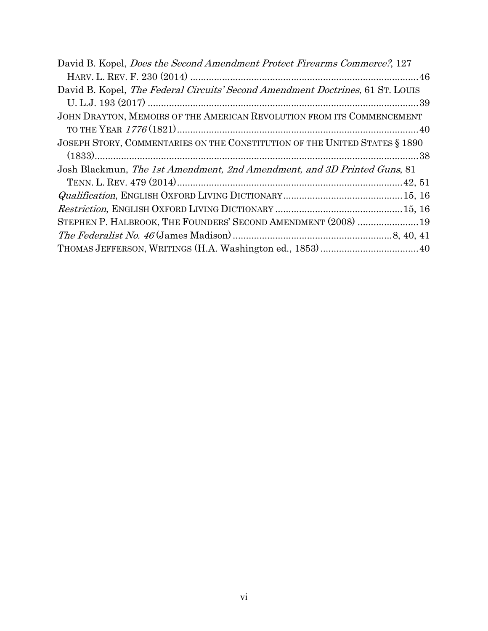| David B. Kopel, <i>Does the Second Amendment Protect Firearms Commerce</i> ?, 127      |
|----------------------------------------------------------------------------------------|
|                                                                                        |
| David B. Kopel, <i>The Federal Circuits' Second Amendment Doctrines</i> , 61 ST. LOUIS |
|                                                                                        |
| JOHN DRAYTON, MEMOIRS OF THE AMERICAN REVOLUTION FROM ITS COMMENCEMENT                 |
|                                                                                        |
| JOSEPH STORY, COMMENTARIES ON THE CONSTITUTION OF THE UNITED STATES § 1890             |
|                                                                                        |
| Josh Blackmun, The 1st Amendment, 2nd Amendment, and 3D Printed Guns, 81               |
|                                                                                        |
|                                                                                        |
|                                                                                        |
| STEPHEN P. HALBROOK, THE FOUNDERS' SECOND AMENDMENT (2008)  19                         |
|                                                                                        |
| THOMAS JEFFERSON, WRITINGS (H.A. Washington ed., 1853)  40                             |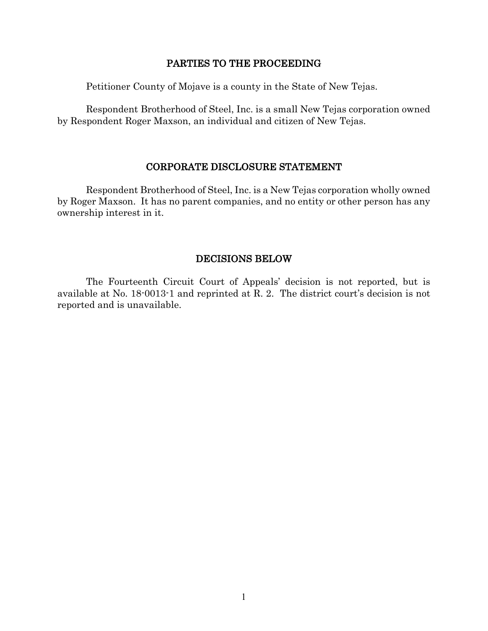### PARTIES TO THE PROCEEDING

Petitioner County of Mojave is a county in the State of New Tejas.

Respondent Brotherhood of Steel, Inc. is a small New Tejas corporation owned by Respondent Roger Maxson, an individual and citizen of New Tejas.

#### CORPORATE DISCLOSURE STATEMENT

Respondent Brotherhood of Steel, Inc. is a New Tejas corporation wholly owned by Roger Maxson. It has no parent companies, and no entity or other person has any ownership interest in it.

### DECISIONS BELOW

The Fourteenth Circuit Court of Appeals' decision is not reported, but is available at No. 18-0013-1 and reprinted at R. 2. The district court's decision is not reported and is unavailable.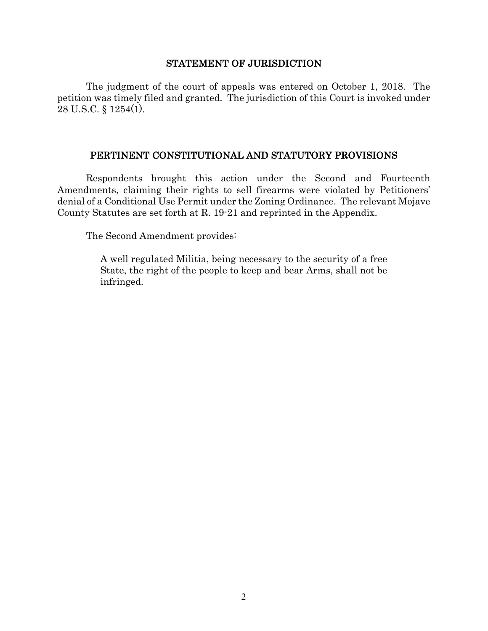#### STATEMENT OF JURISDICTION

The judgment of the court of appeals was entered on October 1, 2018. The petition was timely filed and granted. The jurisdiction of this Court is invoked under 28 U.S.C. § 1254(1).

### PERTINENT CONSTITUTIONAL AND STATUTORY PROVISIONS

Respondents brought this action under the Second and Fourteenth Amendments, claiming their rights to sell firearms were violated by Petitioners' denial of a Conditional Use Permit under the Zoning Ordinance. The relevant Mojave County Statutes are set forth at R. 19-21 and reprinted in the Appendix.

The Second Amendment provides:

A well regulated Militia, being necessary to the security of a free State, the right of the people to keep and bear Arms, shall not be infringed.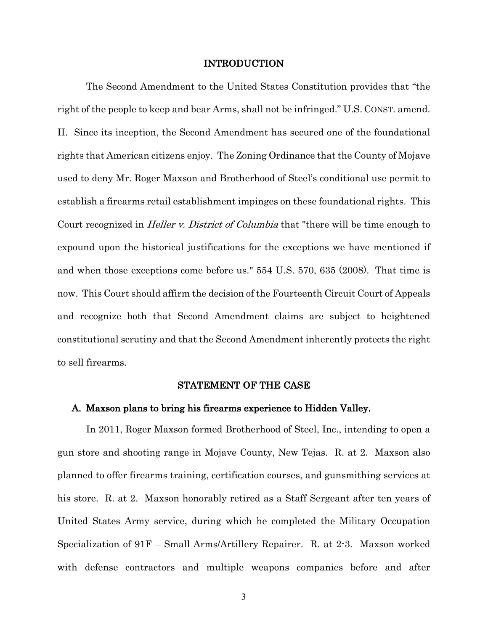#### INTRODUCTION

The Second Amendment to the United States Constitution provides that "the right of the people to keep and bear Arms, shall not be infringed." U.S. CONST. amend. II. Since its inception, the Second Amendment has secured one of the foundational rights that American citizens enjoy. The Zoning Ordinance that the County of Mojave used to deny Mr. Roger Maxson and Brotherhood of Steel's conditional use permit to establish a firearms retail establishment impinges on these foundational rights. This Court recognized in *Heller v. District of Columbia* that "there will be time enough to expound upon the historical justifications for the exceptions we have mentioned if and when those exceptions come before us." 554 U.S. 570, 635 (2008). That time is now. This Court should affirm the decision of the Fourteenth Circuit Court of Appeals and recognize both that Second Amendment claims are subject to heightened constitutional scrutiny and that the Second Amendment inherently protects the right to sell firearms.

#### STATEMENT OF THE CASE

#### A. Maxson plans to bring his firearms experience to Hidden Valley.

In 2011, Roger Maxson formed Brotherhood of Steel, Inc., intending to open a gun store and shooting range in Mojave County, New Tejas. R. at 2. Maxson also planned to offer firearms training, certification courses, and gunsmithing services at his store. R. at 2. Maxson honorably retired as a Staff Sergeant after ten years of United States Army service, during which he completed the Military Occupation Specialization of 91F – Small Arms/Artillery Repairer. R. at 2-3. Maxson worked with defense contractors and multiple weapons companies before and after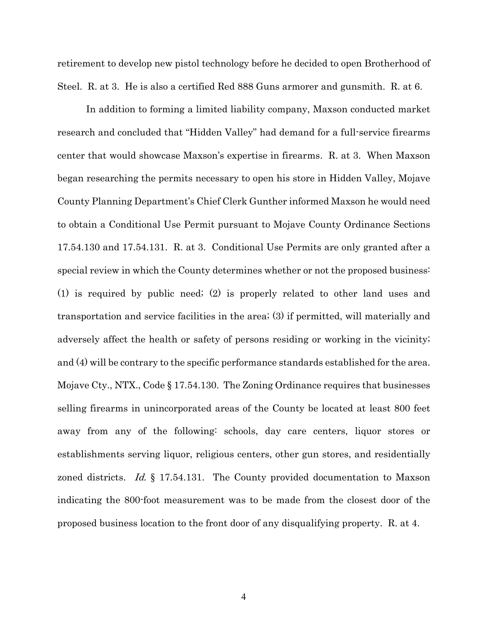retirement to develop new pistol technology before he decided to open Brotherhood of Steel. R. at 3. He is also a certified Red 888 Guns armorer and gunsmith. R. at 6.

In addition to forming a limited liability company, Maxson conducted market research and concluded that "Hidden Valley" had demand for a full-service firearms center that would showcase Maxson's expertise in firearms. R. at 3. When Maxson began researching the permits necessary to open his store in Hidden Valley, Mojave County Planning Department's Chief Clerk Gunther informed Maxson he would need to obtain a Conditional Use Permit pursuant to Mojave County Ordinance Sections 17.54.130 and 17.54.131. R. at 3. Conditional Use Permits are only granted after a special review in which the County determines whether or not the proposed business: (1) is required by public need; (2) is properly related to other land uses and transportation and service facilities in the area; (3) if permitted, will materially and adversely affect the health or safety of persons residing or working in the vicinity; and (4) will be contrary to the specific performance standards established for the area. Mojave Cty., NTX., Code § 17.54.130. The Zoning Ordinance requires that businesses selling firearms in unincorporated areas of the County be located at least 800 feet away from any of the following: schools, day care centers, liquor stores or establishments serving liquor, religious centers, other gun stores, and residentially zoned districts. *Id.* § 17.54.131. The County provided documentation to Maxson indicating the 800-foot measurement was to be made from the closest door of the proposed business location to the front door of any disqualifying property. R. at 4.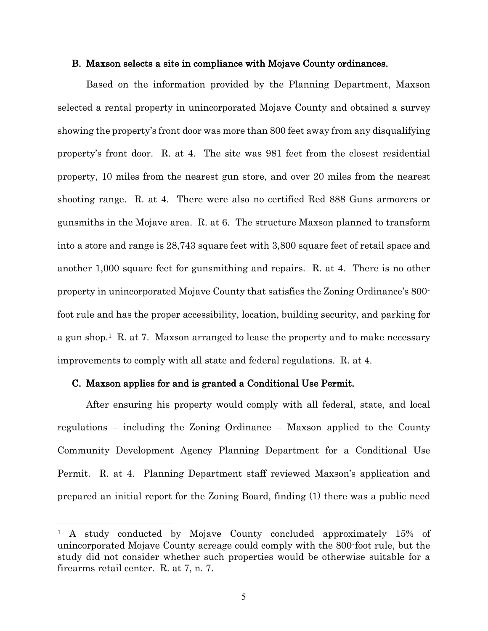#### B. Maxson selects a site in compliance with Mojave County ordinances.

Based on the information provided by the Planning Department, Maxson selected a rental property in unincorporated Mojave County and obtained a survey showing the property's front door was more than 800 feet away from any disqualifying property's front door. R. at 4. The site was 981 feet from the closest residential property, 10 miles from the nearest gun store, and over 20 miles from the nearest shooting range. R. at 4. There were also no certified Red 888 Guns armorers or gunsmiths in the Mojave area. R. at 6. The structure Maxson planned to transform into a store and range is 28,743 square feet with 3,800 square feet of retail space and another 1,000 square feet for gunsmithing and repairs. R. at 4. There is no other property in unincorporated Mojave County that satisfies the Zoning Ordinance's 800 foot rule and has the proper accessibility, location, building security, and parking for a gun shop.<sup>1</sup> R. at 7. Maxson arranged to lease the property and to make necessary improvements to comply with all state and federal regulations. R. at 4.

#### C. Maxson applies for and is granted a Conditional Use Permit.

 $\overline{a}$ 

After ensuring his property would comply with all federal, state, and local regulations – including the Zoning Ordinance – Maxson applied to the County Community Development Agency Planning Department for a Conditional Use Permit. R. at 4. Planning Department staff reviewed Maxson's application and prepared an initial report for the Zoning Board, finding (1) there was a public need

<sup>&</sup>lt;sup>1</sup> A study conducted by Mojave County concluded approximately 15% of unincorporated Mojave County acreage could comply with the 800-foot rule, but the study did not consider whether such properties would be otherwise suitable for a firearms retail center. R. at 7, n. 7.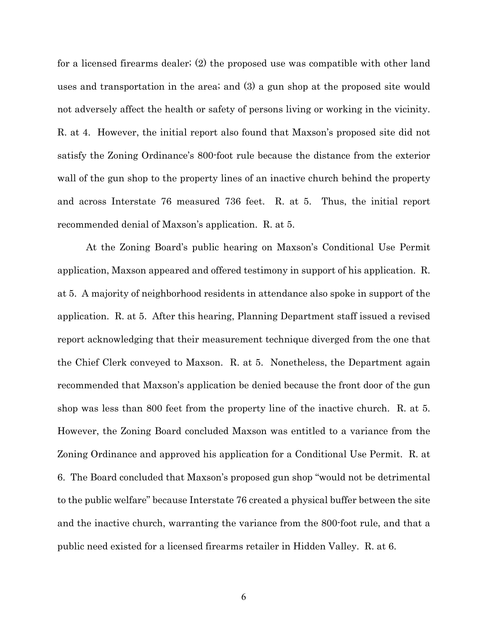for a licensed firearms dealer; (2) the proposed use was compatible with other land uses and transportation in the area; and (3) a gun shop at the proposed site would not adversely affect the health or safety of persons living or working in the vicinity. R. at 4. However, the initial report also found that Maxson's proposed site did not satisfy the Zoning Ordinance's 800-foot rule because the distance from the exterior wall of the gun shop to the property lines of an inactive church behind the property and across Interstate 76 measured 736 feet. R. at 5. Thus, the initial report recommended denial of Maxson's application. R. at 5.

At the Zoning Board's public hearing on Maxson's Conditional Use Permit application, Maxson appeared and offered testimony in support of his application. R. at 5. A majority of neighborhood residents in attendance also spoke in support of the application. R. at 5. After this hearing, Planning Department staff issued a revised report acknowledging that their measurement technique diverged from the one that the Chief Clerk conveyed to Maxson. R. at 5. Nonetheless, the Department again recommended that Maxson's application be denied because the front door of the gun shop was less than 800 feet from the property line of the inactive church. R. at 5. However, the Zoning Board concluded Maxson was entitled to a variance from the Zoning Ordinance and approved his application for a Conditional Use Permit. R. at 6. The Board concluded that Maxson's proposed gun shop "would not be detrimental to the public welfare" because Interstate 76 created a physical buffer between the site and the inactive church, warranting the variance from the 800-foot rule, and that a public need existed for a licensed firearms retailer in Hidden Valley. R. at 6.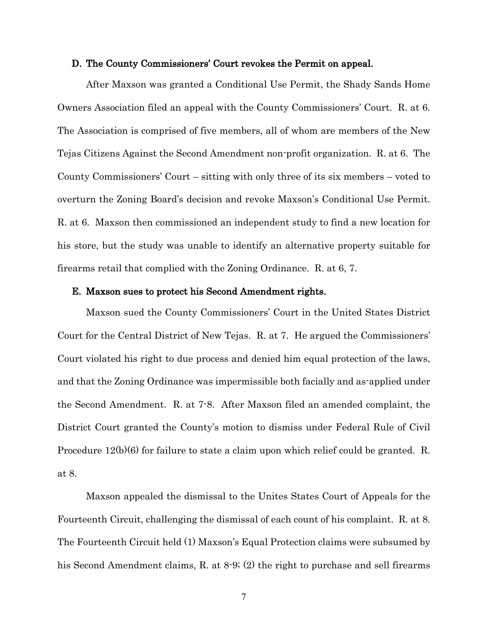#### D. The County Commissioners' Court revokes the Permit on appeal.

After Maxson was granted a Conditional Use Permit, the Shady Sands Home Owners Association filed an appeal with the County Commissioners' Court. R. at 6. The Association is comprised of five members, all of whom are members of the New Tejas Citizens Against the Second Amendment non-profit organization. R. at 6. The County Commissioners' Court – sitting with only three of its six members – voted to overturn the Zoning Board's decision and revoke Maxson's Conditional Use Permit. R. at 6. Maxson then commissioned an independent study to find a new location for his store, but the study was unable to identify an alternative property suitable for firearms retail that complied with the Zoning Ordinance. R. at 6, 7.

#### E. Maxson sues to protect his Second Amendment rights.

Maxson sued the County Commissioners' Court in the United States District Court for the Central District of New Tejas. R. at 7. He argued the Commissioners' Court violated his right to due process and denied him equal protection of the laws, and that the Zoning Ordinance was impermissible both facially and as-applied under the Second Amendment. R. at 7-8. After Maxson filed an amended complaint, the District Court granted the County's motion to dismiss under Federal Rule of Civil Procedure 12(b)(6) for failure to state a claim upon which relief could be granted. R. at 8.

Maxson appealed the dismissal to the Unites States Court of Appeals for the Fourteenth Circuit, challenging the dismissal of each count of his complaint. R. at 8. The Fourteenth Circuit held (1) Maxson's Equal Protection claims were subsumed by his Second Amendment claims, R. at 8-9; (2) the right to purchase and sell firearms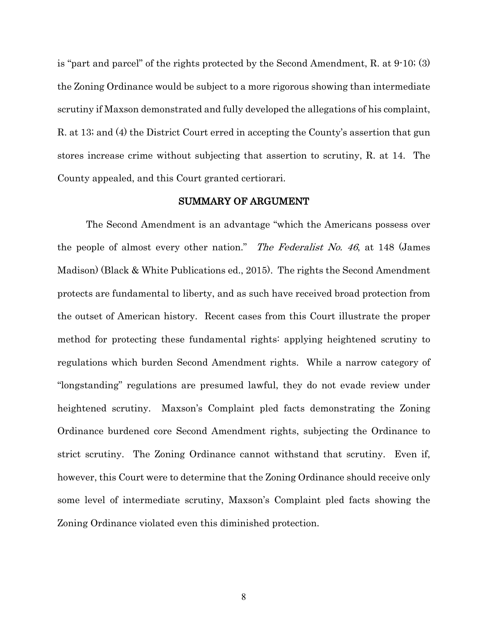is "part and parcel" of the rights protected by the Second Amendment, R. at 9-10; (3) the Zoning Ordinance would be subject to a more rigorous showing than intermediate scrutiny if Maxson demonstrated and fully developed the allegations of his complaint, R. at 13; and (4) the District Court erred in accepting the County's assertion that gun stores increase crime without subjecting that assertion to scrutiny, R. at 14. The County appealed, and this Court granted certiorari.

#### SUMMARY OF ARGUMENT

The Second Amendment is an advantage "which the Americans possess over the people of almost every other nation." The Federalist No. 46, at 148 (James Madison) (Black & White Publications ed., 2015). The rights the Second Amendment protects are fundamental to liberty, and as such have received broad protection from the outset of American history. Recent cases from this Court illustrate the proper method for protecting these fundamental rights: applying heightened scrutiny to regulations which burden Second Amendment rights. While a narrow category of "longstanding" regulations are presumed lawful, they do not evade review under heightened scrutiny. Maxson's Complaint pled facts demonstrating the Zoning Ordinance burdened core Second Amendment rights, subjecting the Ordinance to strict scrutiny. The Zoning Ordinance cannot withstand that scrutiny. Even if, however, this Court were to determine that the Zoning Ordinance should receive only some level of intermediate scrutiny, Maxson's Complaint pled facts showing the Zoning Ordinance violated even this diminished protection.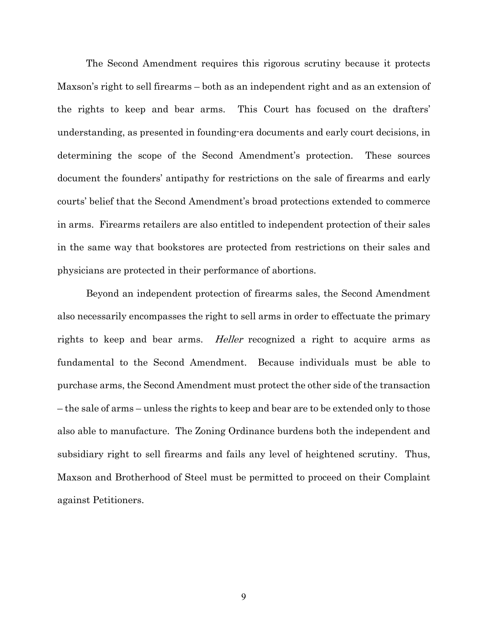The Second Amendment requires this rigorous scrutiny because it protects Maxson's right to sell firearms – both as an independent right and as an extension of the rights to keep and bear arms. This Court has focused on the drafters' understanding, as presented in founding-era documents and early court decisions, in determining the scope of the Second Amendment's protection. These sources document the founders' antipathy for restrictions on the sale of firearms and early courts' belief that the Second Amendment's broad protections extended to commerce in arms. Firearms retailers are also entitled to independent protection of their sales in the same way that bookstores are protected from restrictions on their sales and physicians are protected in their performance of abortions.

Beyond an independent protection of firearms sales, the Second Amendment also necessarily encompasses the right to sell arms in order to effectuate the primary rights to keep and bear arms. *Heller* recognized a right to acquire arms as fundamental to the Second Amendment. Because individuals must be able to purchase arms, the Second Amendment must protect the other side of the transaction – the sale of arms – unless the rights to keep and bear are to be extended only to those also able to manufacture. The Zoning Ordinance burdens both the independent and subsidiary right to sell firearms and fails any level of heightened scrutiny. Thus, Maxson and Brotherhood of Steel must be permitted to proceed on their Complaint against Petitioners.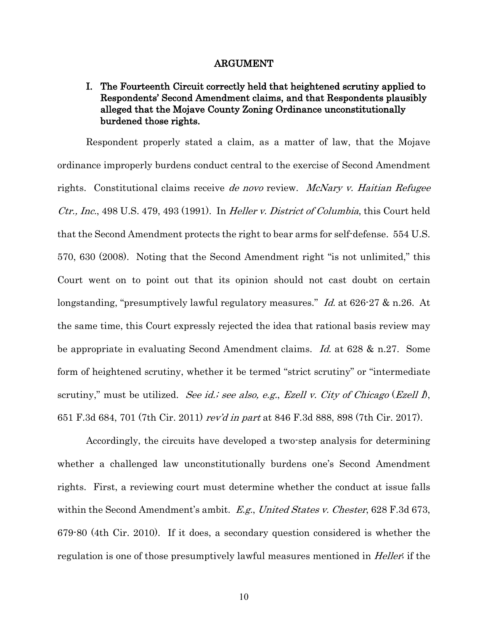#### ARGUMENT

## I. The Fourteenth Circuit correctly held that heightened scrutiny applied to Respondents' Second Amendment claims, and that Respondents plausibly alleged that the Mojave County Zoning Ordinance unconstitutionally burdened those rights.

Respondent properly stated a claim, as a matter of law, that the Mojave ordinance improperly burdens conduct central to the exercise of Second Amendment rights. Constitutional claims receive de novo review. McNary v. Haitian Refugee Ctr., Inc., 498 U.S. 479, 493 (1991). In Heller v. District of Columbia, this Court held that the Second Amendment protects the right to bear arms for self-defense. 554 U.S. 570, 630 (2008). Noting that the Second Amendment right "is not unlimited," this Court went on to point out that its opinion should not cast doubt on certain longstanding, "presumptively lawful regulatory measures." Id. at 626-27 & n.26. At the same time, this Court expressly rejected the idea that rational basis review may be appropriate in evaluating Second Amendment claims. Id. at 628 & n.27. Some form of heightened scrutiny, whether it be termed "strict scrutiny" or "intermediate scrutiny," must be utilized. See id.; see also, e.g., Ezell v. City of Chicago (Ezell  $\hat{D}$ , 651 F.3d 684, 701 (7th Cir. 2011) rev'd in part at 846 F.3d 888, 898 (7th Cir. 2017).

Accordingly, the circuits have developed a two-step analysis for determining whether a challenged law unconstitutionally burdens one's Second Amendment rights. First, a reviewing court must determine whether the conduct at issue falls within the Second Amendment's ambit. E.g., United States v. Chester, 628 F.3d 673, 679-80 (4th Cir. 2010). If it does, a secondary question considered is whether the regulation is one of those presumptively lawful measures mentioned in *Heller*; if the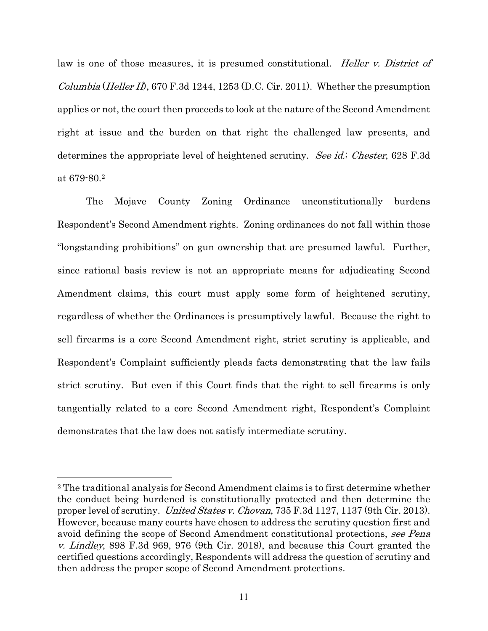law is one of those measures, it is presumed constitutional. *Heller v. District of Columbia* (*Heller II*), 670 F.3d 1244, 1253 (D.C. Cir. 2011). Whether the presumption applies or not, the court then proceeds to look at the nature of the Second Amendment right at issue and the burden on that right the challenged law presents, and determines the appropriate level of heightened scrutiny. See id.; Chester, 628 F.3d at 679-80.2

The Mojave County Zoning Ordinance unconstitutionally burdens Respondent's Second Amendment rights. Zoning ordinances do not fall within those "longstanding prohibitions" on gun ownership that are presumed lawful. Further, since rational basis review is not an appropriate means for adjudicating Second Amendment claims, this court must apply some form of heightened scrutiny, regardless of whether the Ordinances is presumptively lawful. Because the right to sell firearms is a core Second Amendment right, strict scrutiny is applicable, and Respondent's Complaint sufficiently pleads facts demonstrating that the law fails strict scrutiny. But even if this Court finds that the right to sell firearms is only tangentially related to a core Second Amendment right, Respondent's Complaint demonstrates that the law does not satisfy intermediate scrutiny.

 $\overline{a}$ 

<sup>2</sup> The traditional analysis for Second Amendment claims is to first determine whether the conduct being burdened is constitutionally protected and then determine the proper level of scrutiny. United States v. Chovan, 735 F.3d 1127, 1137 (9th Cir. 2013). However, because many courts have chosen to address the scrutiny question first and avoid defining the scope of Second Amendment constitutional protections, see Pena v. Lindley, 898 F.3d 969, 976 (9th Cir. 2018), and because this Court granted the certified questions accordingly, Respondents will address the question of scrutiny and then address the proper scope of Second Amendment protections.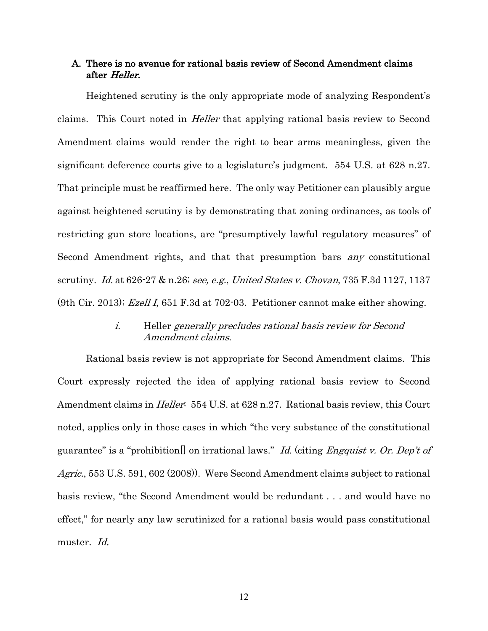### A. There is no avenue for rational basis review of Second Amendment claims after Heller.

Heightened scrutiny is the only appropriate mode of analyzing Respondent's claims. This Court noted in Heller that applying rational basis review to Second Amendment claims would render the right to bear arms meaningless, given the significant deference courts give to a legislature's judgment. 554 U.S. at 628 n.27. That principle must be reaffirmed here. The only way Petitioner can plausibly argue against heightened scrutiny is by demonstrating that zoning ordinances, as tools of restricting gun store locations, are "presumptively lawful regulatory measures" of Second Amendment rights, and that that presumption bars any constitutional scrutiny. Id. at 626-27 & n.26; see, e.g., United States v. Chovan, 735 F.3d 1127, 1137 (9th Cir. 2013); Ezell I, 651 F.3d at 702-03. Petitioner cannot make either showing.

## i. Heller generally precludes rational basis review for Second Amendment claims.

Rational basis review is not appropriate for Second Amendment claims. This Court expressly rejected the idea of applying rational basis review to Second Amendment claims in *Heller*: 554 U.S. at 628 n.27. Rational basis review, this Court noted, applies only in those cases in which "the very substance of the constitutional guarantee" is a "prohibition<sup>[]</sup> on irrational laws." Id. (citing *Engquist v. Or. Dep't of* Agric., 553 U.S. 591, 602 (2008)). Were Second Amendment claims subject to rational basis review, "the Second Amendment would be redundant . . . and would have no effect," for nearly any law scrutinized for a rational basis would pass constitutional muster. Id.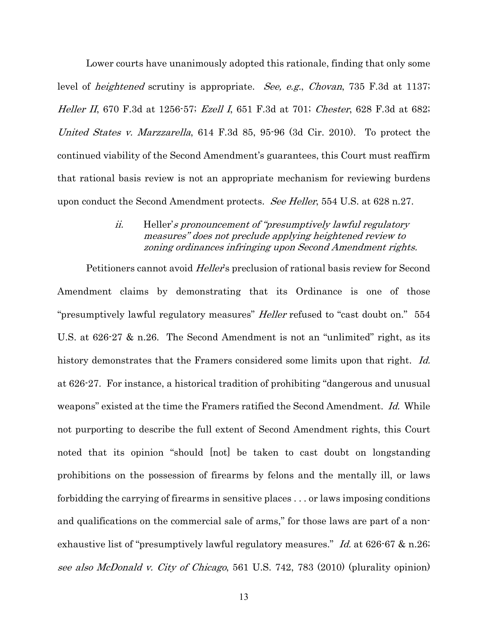Lower courts have unanimously adopted this rationale, finding that only some level of *heightened* scrutiny is appropriate. *See, e.g., Chovan*, 735 F.3d at 1137; Heller II, 670 F.3d at 1256-57; Ezell I, 651 F.3d at 701; Chester, 628 F.3d at 682; United States v. Marzzarella, 614 F.3d 85, 95-96 (3d Cir. 2010). To protect the continued viability of the Second Amendment's guarantees, this Court must reaffirm that rational basis review is not an appropriate mechanism for reviewing burdens upon conduct the Second Amendment protects. See Heller, 554 U.S. at 628 n.27.

## ii. Heller's pronouncement of "presumptively lawful regulatory measures" does not preclude applying heightened review to zoning ordinances infringing upon Second Amendment rights.

Petitioners cannot avoid *Heller's* preclusion of rational basis review for Second Amendment claims by demonstrating that its Ordinance is one of those "presumptively lawful regulatory measures" *Heller* refused to "cast doubt on." 554 U.S. at 626-27 & n.26. The Second Amendment is not an "unlimited" right, as its history demonstrates that the Framers considered some limits upon that right. Id. at 626-27. For instance, a historical tradition of prohibiting "dangerous and unusual weapons" existed at the time the Framers ratified the Second Amendment. Id. While not purporting to describe the full extent of Second Amendment rights, this Court noted that its opinion "should [not] be taken to cast doubt on longstanding prohibitions on the possession of firearms by felons and the mentally ill, or laws forbidding the carrying of firearms in sensitive places . . . or laws imposing conditions and qualifications on the commercial sale of arms," for those laws are part of a nonexhaustive list of "presumptively lawful regulatory measures." *Id.* at 626-67 & n.26; see also McDonald v. City of Chicago, 561 U.S. 742, 783 (2010) (plurality opinion)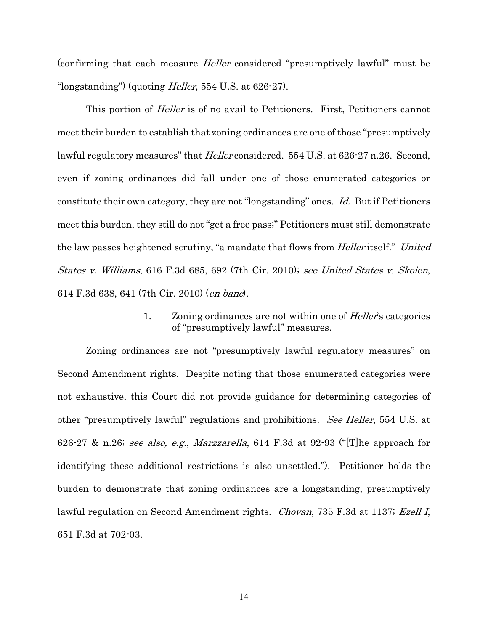(confirming that each measure Heller considered "presumptively lawful" must be "longstanding") (quoting *Heller*, 554 U.S. at  $626-27$ ).

This portion of *Heller* is of no avail to Petitioners. First, Petitioners cannot meet their burden to establish that zoning ordinances are one of those "presumptively lawful regulatory measures" that *Heller* considered. 554 U.S. at 626-27 n.26. Second, even if zoning ordinances did fall under one of those enumerated categories or constitute their own category, they are not "longstanding" ones. Id. But if Petitioners meet this burden, they still do not "get a free pass;" Petitioners must still demonstrate the law passes heightened scrutiny, "a mandate that flows from *Heller* itself." United States v. Williams, 616 F.3d 685, 692 (7th Cir. 2010); see United States v. Skoien, 614 F.3d 638, 641 (7th Cir. 2010) (en banc).

### 1. Zoning ordinances are not within one of *Heller's* categories of "presumptively lawful" measures.

Zoning ordinances are not "presumptively lawful regulatory measures" on Second Amendment rights. Despite noting that those enumerated categories were not exhaustive, this Court did not provide guidance for determining categories of other "presumptively lawful" regulations and prohibitions. See Heller, 554 U.S. at 626-27 & n.26; see also, e.g., Marzzarella, 614 F.3d at 92-93 ("The approach for identifying these additional restrictions is also unsettled."). Petitioner holds the burden to demonstrate that zoning ordinances are a longstanding, presumptively lawful regulation on Second Amendment rights. Chovan, 735 F.3d at 1137; Ezell I, 651 F.3d at 702-03.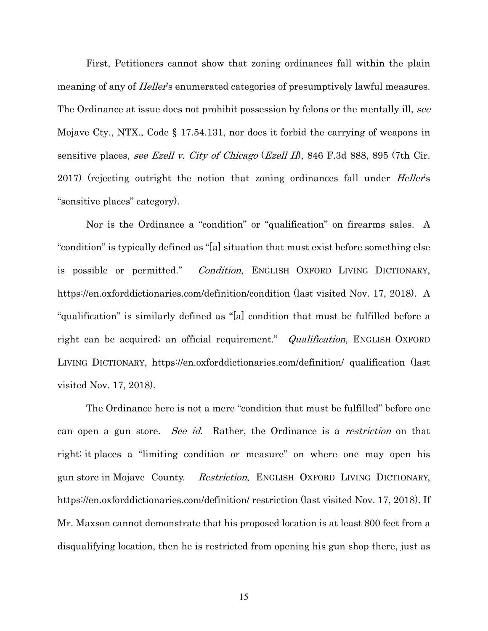First, Petitioners cannot show that zoning ordinances fall within the plain meaning of any of *Heller's* enumerated categories of presumptively lawful measures. The Ordinance at issue does not prohibit possession by felons or the mentally ill, see Mojave Cty., NTX., Code § 17.54.131, nor does it forbid the carrying of weapons in sensitive places, see Ezell v. City of Chicago (Ezell II), 846 F.3d 888, 895 (7th Cir. 2017) (rejecting outright the notion that zoning ordinances fall under *Heller's* "sensitive places" category).

Nor is the Ordinance a "condition" or "qualification" on firearms sales. A "condition" is typically defined as "[a] situation that must exist before something else is possible or permitted." Condition, ENGLISH OXFORD LIVING DICTIONARY, https://en.oxforddictionaries.com/definition/condition (last visited Nov. 17, 2018). A "qualification" is similarly defined as "[a] condition that must be fulfilled before a right can be acquired; an official requirement." *Qualification*, ENGLISH OXFORD LIVING DICTIONARY, https://en.oxforddictionaries.com/definition/ qualification (last visited Nov. 17, 2018).

The Ordinance here is not a mere "condition that must be fulfilled" before one can open a gun store. See id. Rather, the Ordinance is a *restriction* on that right; it places a "limiting condition or measure" on where one may open his gun store in Mojave County. Restriction, ENGLISH OXFORD LIVING DICTIONARY, https://en.oxforddictionaries.com/definition/ restriction (last visited Nov. 17, 2018). If Mr. Maxson cannot demonstrate that his proposed location is at least 800 feet from a disqualifying location, then he is restricted from opening his gun shop there, just as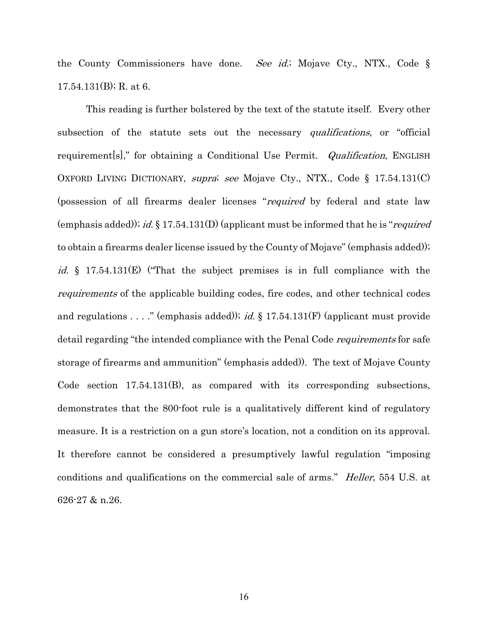the County Commissioners have done. See id.; Mojave Cty., NTX., Code § 17.54.131(B); R. at 6.

This reading is further bolstered by the text of the statute itself. Every other subsection of the statute sets out the necessary *qualifications*, or "official requirement[s]," for obtaining a Conditional Use Permit. *Qualification*, ENGLISH OXFORD LIVING DICTIONARY, supra; see Mojave Cty., NTX., Code § 17.54.131(C) (possession of all firearms dealer licenses "required by federal and state law (emphasis added)); id.  $\S 17.54.131(D)$  (applicant must be informed that he is "*required* to obtain a firearms dealer license issued by the County of Mojave" (emphasis added)); *id.* § 17.54.131(E) ("That the subject premises is in full compliance with the requirements of the applicable building codes, fire codes, and other technical codes and regulations . . . ." (emphasis added)); id. § 17.54.131(F) (applicant must provide detail regarding "the intended compliance with the Penal Code *requirements* for safe storage of firearms and ammunition" (emphasis added)). The text of Mojave County Code section 17.54.131(B), as compared with its corresponding subsections, demonstrates that the 800-foot rule is a qualitatively different kind of regulatory measure. It is a restriction on a gun store's location, not a condition on its approval. It therefore cannot be considered a presumptively lawful regulation "imposing conditions and qualifications on the commercial sale of arms." *Heller*, 554 U.S. at 626-27 & n.26.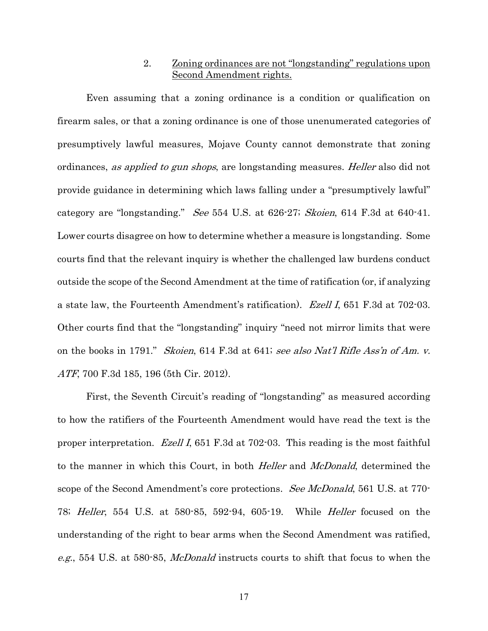### 2. Zoning ordinances are not "longstanding" regulations upon Second Amendment rights.

Even assuming that a zoning ordinance is a condition or qualification on firearm sales, or that a zoning ordinance is one of those unenumerated categories of presumptively lawful measures, Mojave County cannot demonstrate that zoning ordinances, as applied to gun shops, are longstanding measures. Heller also did not provide guidance in determining which laws falling under a "presumptively lawful" category are "longstanding." See 554 U.S. at 626-27; Skoien, 614 F.3d at 640-41. Lower courts disagree on how to determine whether a measure is longstanding. Some courts find that the relevant inquiry is whether the challenged law burdens conduct outside the scope of the Second Amendment at the time of ratification (or, if analyzing a state law, the Fourteenth Amendment's ratification). Ezell I, 651 F.3d at 702-03. Other courts find that the "longstanding" inquiry "need not mirror limits that were on the books in 1791." Skoien, 614 F.3d at 641; see also Nat'l Rifle Ass'n of Am. v. ATF, 700 F.3d 185, 196 (5th Cir. 2012).

First, the Seventh Circuit's reading of "longstanding" as measured according to how the ratifiers of the Fourteenth Amendment would have read the text is the proper interpretation. Ezell I, 651 F.3d at 702-03. This reading is the most faithful to the manner in which this Court, in both *Heller* and *McDonald*, determined the scope of the Second Amendment's core protections. *See McDonald*, 561 U.S. at 770-78; Heller, 554 U.S. at 580-85, 592-94, 605-19. While Heller focused on the understanding of the right to bear arms when the Second Amendment was ratified, e.g., 554 U.S. at 580-85, McDonald instructs courts to shift that focus to when the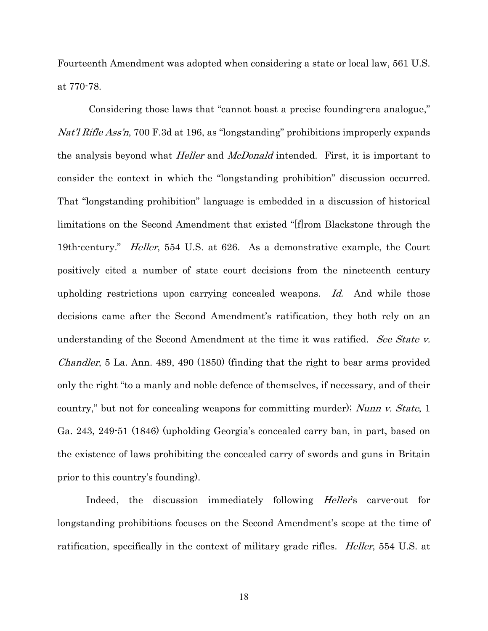Fourteenth Amendment was adopted when considering a state or local law, 561 U.S. at 770-78.

Considering those laws that "cannot boast a precise founding-era analogue," Nat'l Rifle Ass'n, 700 F.3d at 196, as "longstanding" prohibitions improperly expands the analysis beyond what *Heller* and *McDonald* intended. First, it is important to consider the context in which the "longstanding prohibition" discussion occurred. That "longstanding prohibition" language is embedded in a discussion of historical limitations on the Second Amendment that existed "[f]rom Blackstone through the 19th-century." Heller, 554 U.S. at 626. As a demonstrative example, the Court positively cited a number of state court decisions from the nineteenth century upholding restrictions upon carrying concealed weapons. Id. And while those decisions came after the Second Amendment's ratification, they both rely on an understanding of the Second Amendment at the time it was ratified. See State v. Chandler, 5 La. Ann. 489, 490 (1850) (finding that the right to bear arms provided only the right "to a manly and noble defence of themselves, if necessary, and of their country," but not for concealing weapons for committing murder); Nunn v. State, 1 Ga. 243, 249-51 (1846) (upholding Georgia's concealed carry ban, in part, based on the existence of laws prohibiting the concealed carry of swords and guns in Britain prior to this country's founding).

Indeed, the discussion immediately following *Heller's* carve-out for longstanding prohibitions focuses on the Second Amendment's scope at the time of ratification, specifically in the context of military grade rifles. *Heller*, 554 U.S. at

18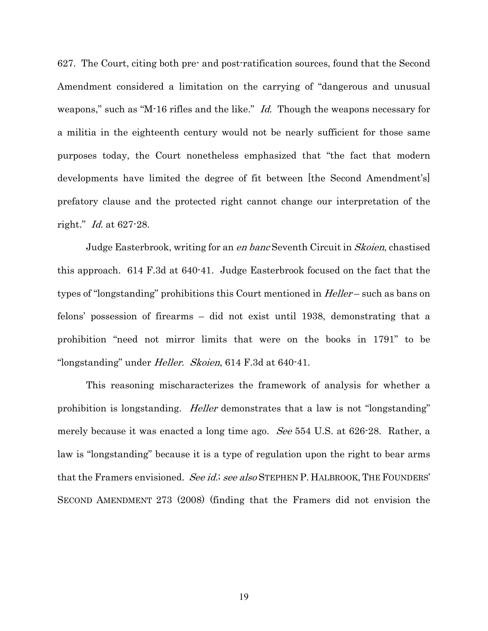627. The Court, citing both pre- and post-ratification sources, found that the Second Amendment considered a limitation on the carrying of "dangerous and unusual weapons," such as "M-16 rifles and the like." *Id.* Though the weapons necessary for a militia in the eighteenth century would not be nearly sufficient for those same purposes today, the Court nonetheless emphasized that "the fact that modern developments have limited the degree of fit between [the Second Amendment's] prefatory clause and the protected right cannot change our interpretation of the right." Id. at 627-28.

Judge Easterbrook, writing for an en banc Seventh Circuit in *Skoien*, chastised this approach. 614 F.3d at 640-41. Judge Easterbrook focused on the fact that the types of "longstanding" prohibitions this Court mentioned in *Heller* – such as bans on felons' possession of firearms – did not exist until 1938, demonstrating that a prohibition "need not mirror limits that were on the books in 1791" to be "longstanding" under Heller. Skoien, 614 F.3d at 640-41.

This reasoning mischaracterizes the framework of analysis for whether a prohibition is longstanding. Heller demonstrates that a law is not "longstanding" merely because it was enacted a long time ago. See 554 U.S. at 626-28. Rather, a law is "longstanding" because it is a type of regulation upon the right to bear arms that the Framers envisioned. See id.; see also STEPHEN P. HALBROOK, THE FOUNDERS' SECOND AMENDMENT 273 (2008) (finding that the Framers did not envision the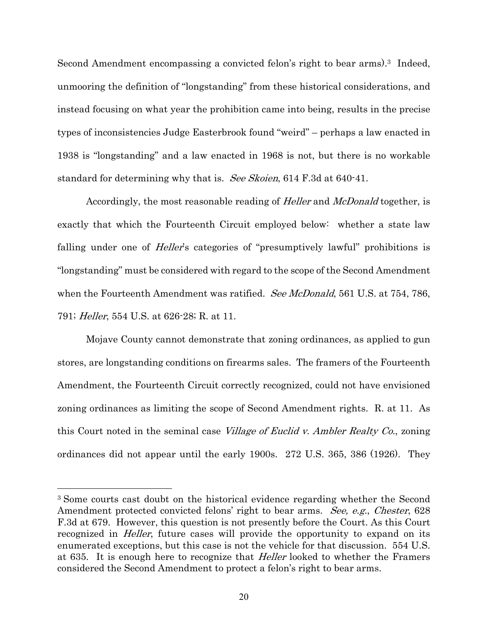Second Amendment encompassing a convicted felon's right to bear arms).3 Indeed, unmooring the definition of "longstanding" from these historical considerations, and instead focusing on what year the prohibition came into being, results in the precise types of inconsistencies Judge Easterbrook found "weird" – perhaps a law enacted in 1938 is "longstanding" and a law enacted in 1968 is not, but there is no workable standard for determining why that is. See Skoien, 614 F.3d at 640-41.

Accordingly, the most reasonable reading of *Heller* and *McDonald* together, is exactly that which the Fourteenth Circuit employed below: whether a state law falling under one of *Heller's* categories of "presumptively lawful" prohibitions is "longstanding" must be considered with regard to the scope of the Second Amendment when the Fourteenth Amendment was ratified. See McDonald, 561 U.S. at 754, 786, 791; Heller, 554 U.S. at 626-28; R. at 11.

Mojave County cannot demonstrate that zoning ordinances, as applied to gun stores, are longstanding conditions on firearms sales. The framers of the Fourteenth Amendment, the Fourteenth Circuit correctly recognized, could not have envisioned zoning ordinances as limiting the scope of Second Amendment rights. R. at 11. As this Court noted in the seminal case *Village of Euclid v. Ambler Realty Co.*, zoning ordinances did not appear until the early 1900s. 272 U.S. 365, 386 (1926). They

 $\overline{a}$ 

<sup>3</sup> Some courts cast doubt on the historical evidence regarding whether the Second Amendment protected convicted felons' right to bear arms. See, e.g., Chester, 628 F.3d at 679. However, this question is not presently before the Court. As this Court recognized in *Heller*, future cases will provide the opportunity to expand on its enumerated exceptions, but this case is not the vehicle for that discussion. 554 U.S. at 635. It is enough here to recognize that *Heller* looked to whether the Framers considered the Second Amendment to protect a felon's right to bear arms.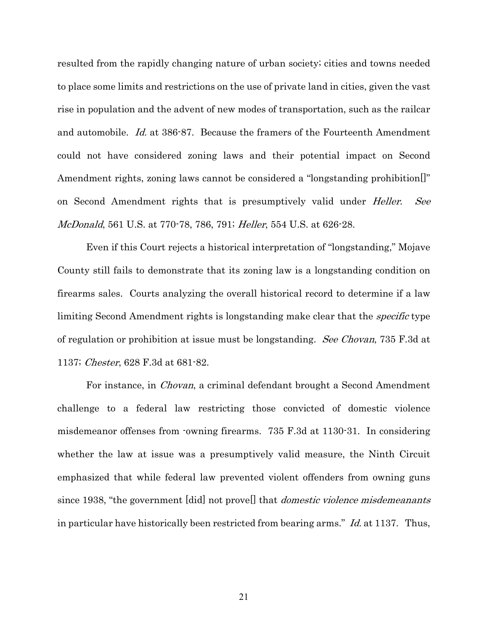resulted from the rapidly changing nature of urban society; cities and towns needed to place some limits and restrictions on the use of private land in cities, given the vast rise in population and the advent of new modes of transportation, such as the railcar and automobile. Id. at 386-87. Because the framers of the Fourteenth Amendment could not have considered zoning laws and their potential impact on Second Amendment rights, zoning laws cannot be considered a "longstanding prohibition." on Second Amendment rights that is presumptively valid under *Heller. See* McDonald, 561 U.S. at 770-78, 786, 791; Heller, 554 U.S. at 626-28.

Even if this Court rejects a historical interpretation of "longstanding," Mojave County still fails to demonstrate that its zoning law is a longstanding condition on firearms sales. Courts analyzing the overall historical record to determine if a law limiting Second Amendment rights is longstanding make clear that the *specific* type of regulation or prohibition at issue must be longstanding. See Chovan, 735 F.3d at 1137; Chester, 628 F.3d at 681-82.

For instance, in *Chovan*, a criminal defendant brought a Second Amendment challenge to a federal law restricting those convicted of domestic violence misdemeanor offenses from -owning firearms. 735 F.3d at 1130-31. In considering whether the law at issue was a presumptively valid measure, the Ninth Circuit emphasized that while federal law prevented violent offenders from owning guns since 1938, "the government [did] not provel] that *domestic violence misdemeanants* in particular have historically been restricted from bearing arms." Id. at 1137. Thus,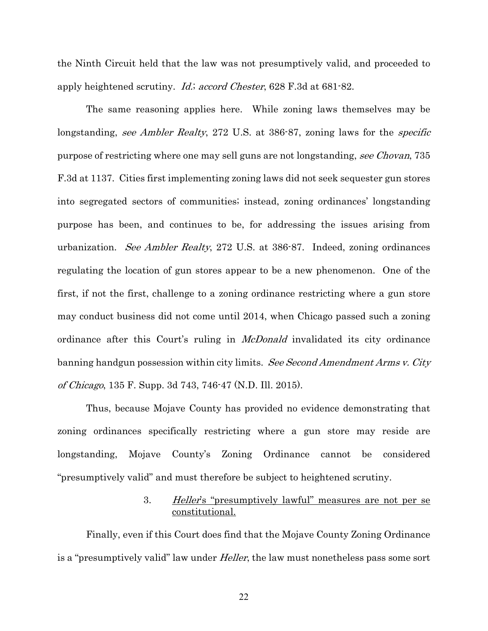the Ninth Circuit held that the law was not presumptively valid, and proceeded to apply heightened scrutiny. Id.; accord Chester, 628 F.3d at 681-82.

The same reasoning applies here. While zoning laws themselves may be longstanding, see Ambler Realty, 272 U.S. at 386-87, zoning laws for the specific purpose of restricting where one may sell guns are not longstanding, see Chovan, 735 F.3d at 1137. Cities first implementing zoning laws did not seek sequester gun stores into segregated sectors of communities; instead, zoning ordinances' longstanding purpose has been, and continues to be, for addressing the issues arising from urbanization. See Ambler Realty, 272 U.S. at 386-87. Indeed, zoning ordinances regulating the location of gun stores appear to be a new phenomenon. One of the first, if not the first, challenge to a zoning ordinance restricting where a gun store may conduct business did not come until 2014, when Chicago passed such a zoning ordinance after this Court's ruling in *McDonald* invalidated its city ordinance banning handgun possession within city limits. See Second Amendment Arms v. City of Chicago, 135 F. Supp. 3d 743, 746-47 (N.D. Ill. 2015).

Thus, because Mojave County has provided no evidence demonstrating that zoning ordinances specifically restricting where a gun store may reside are longstanding, Mojave County's Zoning Ordinance cannot be considered "presumptively valid" and must therefore be subject to heightened scrutiny.

### 3. Heller's "presumptively lawful" measures are not per se constitutional.

Finally, even if this Court does find that the Mojave County Zoning Ordinance is a "presumptively valid" law under *Heller*, the law must nonetheless pass some sort

22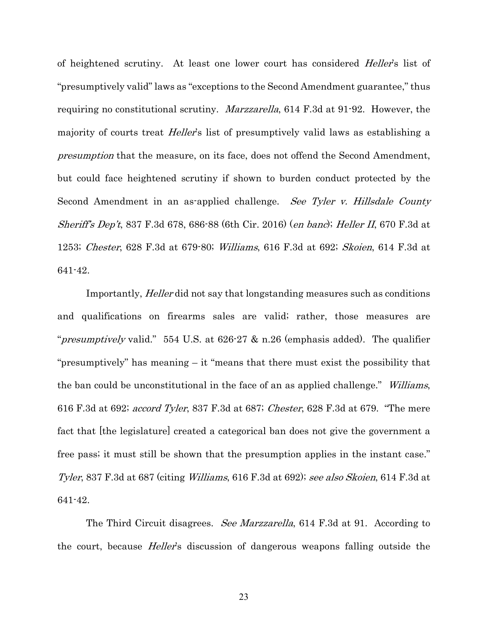of heightened scrutiny. At least one lower court has considered *Heller's* list of "presumptively valid" laws as "exceptions to the Second Amendment guarantee," thus requiring no constitutional scrutiny. Marzzarella, 614 F.3d at 91-92. However, the majority of courts treat *Heller's* list of presumptively valid laws as establishing a presumption that the measure, on its face, does not offend the Second Amendment, but could face heightened scrutiny if shown to burden conduct protected by the Second Amendment in an as-applied challenge. See Tyler v. Hillsdale County Sheriff's Dep't, 837 F.3d 678, 686-88 (6th Cir. 2016) (en banc); Heller II, 670 F.3d at 1253; Chester, 628 F.3d at 679-80; Williams, 616 F.3d at 692; Skoien, 614 F.3d at 641-42.

Importantly, Heller did not say that longstanding measures such as conditions and qualifications on firearms sales are valid; rather, those measures are "*presumptively* valid." 554 U.S. at  $626\cdot27$  & n.26 (emphasis added). The qualifier "presumptively" has meaning – it "means that there must exist the possibility that the ban could be unconstitutional in the face of an as applied challenge." Williams, 616 F.3d at 692; accord Tyler, 837 F.3d at 687; Chester, 628 F.3d at 679. "The mere fact that [the legislature] created a categorical ban does not give the government a free pass; it must still be shown that the presumption applies in the instant case." Tyler, 837 F.3d at 687 (citing *Williams*, 616 F.3d at 692); see also Skoien, 614 F.3d at 641-42.

The Third Circuit disagrees. *See Marzzarella*, 614 F.3d at 91. According to the court, because *Heller's* discussion of dangerous weapons falling outside the

23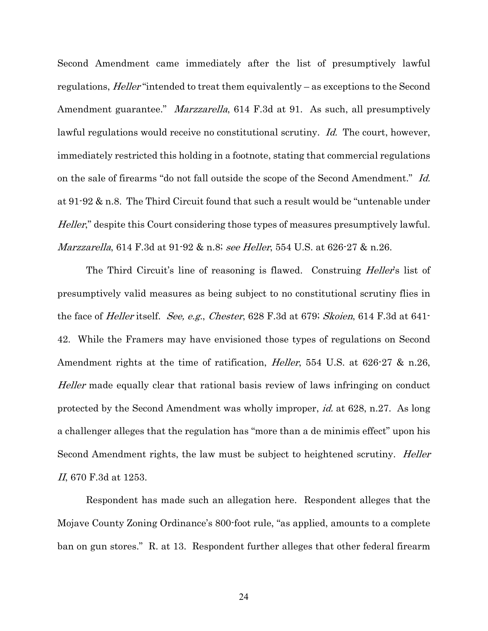Second Amendment came immediately after the list of presumptively lawful regulations, *Heller* "intended to treat them equivalently – as exceptions to the Second Amendment guarantee." *Marzzarella*, 614 F.3d at 91. As such, all presumptively lawful regulations would receive no constitutional scrutiny. Id. The court, however, immediately restricted this holding in a footnote, stating that commercial regulations on the sale of firearms "do not fall outside the scope of the Second Amendment." Id. at 91-92 & n.8. The Third Circuit found that such a result would be "untenable under Heller," despite this Court considering those types of measures presumptively lawful. *Marzzarella*, 614 F.3d at 91-92 & n.8; *see Heller*, 554 U.S. at 626-27 & n.26.

The Third Circuit's line of reasoning is flawed. Construing *Heller's* list of presumptively valid measures as being subject to no constitutional scrutiny flies in the face of *Heller* itself. *See, e.g., Chester*, 628 F.3d at 679; *Skoien*, 614 F.3d at 641-42. While the Framers may have envisioned those types of regulations on Second Amendment rights at the time of ratification, *Heller*, 554 U.S. at 626-27 & n.26, Heller made equally clear that rational basis review of laws infringing on conduct protected by the Second Amendment was wholly improper, id. at 628, n.27. As long a challenger alleges that the regulation has "more than a de minimis effect" upon his Second Amendment rights, the law must be subject to heightened scrutiny. *Heller* II, 670 F.3d at 1253.

Respondent has made such an allegation here. Respondent alleges that the Mojave County Zoning Ordinance's 800-foot rule, "as applied, amounts to a complete ban on gun stores." R. at 13. Respondent further alleges that other federal firearm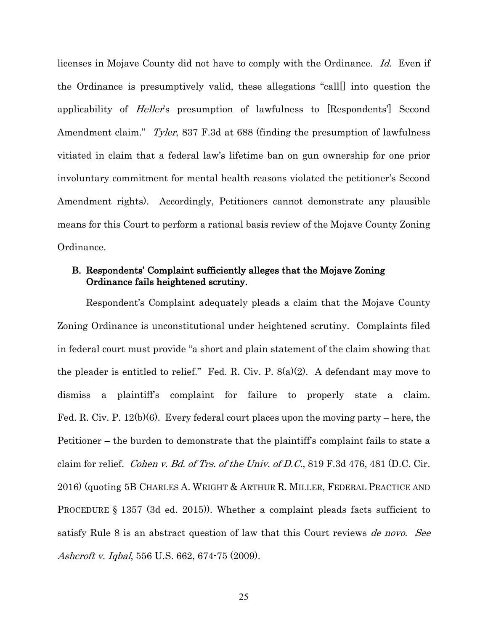licenses in Mojave County did not have to comply with the Ordinance. Id. Even if the Ordinance is presumptively valid, these allegations "call[] into question the applicability of Heller's presumption of lawfulness to [Respondents'] Second Amendment claim." *Tyler*, 837 F.3d at 688 (finding the presumption of lawfulness vitiated in claim that a federal law's lifetime ban on gun ownership for one prior involuntary commitment for mental health reasons violated the petitioner's Second Amendment rights). Accordingly, Petitioners cannot demonstrate any plausible means for this Court to perform a rational basis review of the Mojave County Zoning Ordinance.

## B. Respondents' Complaint sufficiently alleges that the Mojave Zoning Ordinance fails heightened scrutiny.

Respondent's Complaint adequately pleads a claim that the Mojave County Zoning Ordinance is unconstitutional under heightened scrutiny. Complaints filed in federal court must provide "a short and plain statement of the claim showing that the pleader is entitled to relief." Fed. R. Civ. P. 8(a)(2). A defendant may move to dismiss a plaintiff's complaint for failure to properly state a claim. Fed. R. Civ. P. 12(b)(6). Every federal court places upon the moving party – here, the Petitioner – the burden to demonstrate that the plaintiff's complaint fails to state a claim for relief. Cohen v. Bd. of Trs. of the Univ. of D.C., 819 F.3d 476, 481 (D.C. Cir. 2016) (quoting 5B CHARLES A. WRIGHT & ARTHUR R. MILLER, FEDERAL PRACTICE AND PROCEDURE § 1357 (3d ed. 2015)). Whether a complaint pleads facts sufficient to satisfy Rule 8 is an abstract question of law that this Court reviews *de novo.* See Ashcroft v. Iqbal, 556 U.S. 662, 674-75 (2009).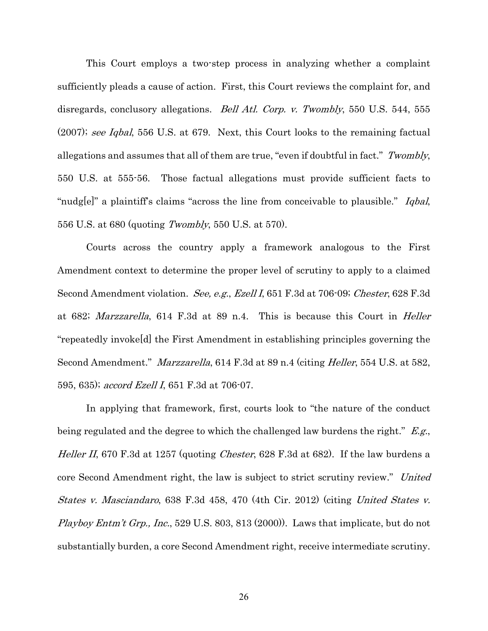This Court employs a two-step process in analyzing whether a complaint sufficiently pleads a cause of action. First, this Court reviews the complaint for, and disregards, conclusory allegations. *Bell Atl. Corp. v. Twombly*, 550 U.S. 544, 555 (2007); see Iqbal, 556 U.S. at 679. Next, this Court looks to the remaining factual allegations and assumes that all of them are true, "even if doubtful in fact." Twombly, 550 U.S. at 555-56. Those factual allegations must provide sufficient facts to "nudg[e]" a plaintiff's claims "across the line from conceivable to plausible." Iqbal, 556 U.S. at 680 (quoting Twombly, 550 U.S. at 570).

Courts across the country apply a framework analogous to the First Amendment context to determine the proper level of scrutiny to apply to a claimed Second Amendment violation. See, e.g., Ezell I, 651 F.3d at 706-09; Chester, 628 F.3d at 682; Marzzarella, 614 F.3d at 89 n.4. This is because this Court in Heller "repeatedly invoke[d] the First Amendment in establishing principles governing the Second Amendment." Marzzarella, 614 F.3d at 89 n.4 (citing Heller, 554 U.S. at 582, 595, 635); *accord Ezell I*, 651 F.3d at 706-07.

In applying that framework, first, courts look to "the nature of the conduct being regulated and the degree to which the challenged law burdens the right." E.g., Heller II, 670 F.3d at 1257 (quoting *Chester*, 628 F.3d at 682). If the law burdens a core Second Amendment right, the law is subject to strict scrutiny review." United States v. Masciandaro, 638 F.3d 458, 470 (4th Cir. 2012) (citing United States v. *Playboy Entm't Grp., Inc.*, 529 U.S. 803, 813 (2000). Laws that implicate, but do not substantially burden, a core Second Amendment right, receive intermediate scrutiny.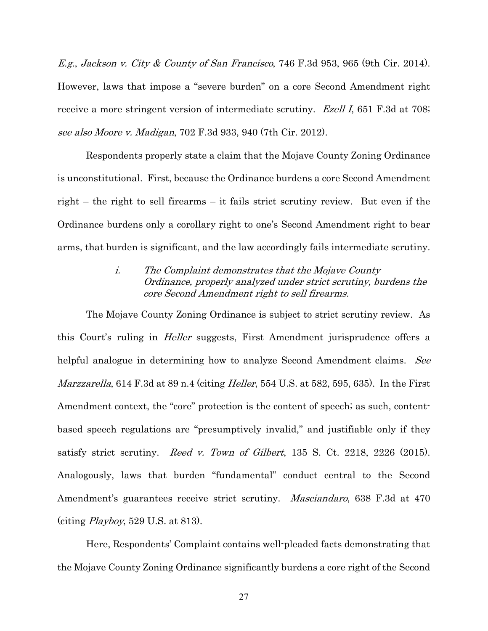E.g., Jackson v. City & County of San Francisco, 746 F.3d 953, 965 (9th Cir. 2014). However, laws that impose a "severe burden" on a core Second Amendment right receive a more stringent version of intermediate scrutiny. *Ezell I*, 651 F.3d at 708; see also Moore v. Madigan, 702 F.3d 933, 940 (7th Cir. 2012).

Respondents properly state a claim that the Mojave County Zoning Ordinance is unconstitutional. First, because the Ordinance burdens a core Second Amendment right – the right to sell firearms – it fails strict scrutiny review. But even if the Ordinance burdens only a corollary right to one's Second Amendment right to bear arms, that burden is significant, and the law accordingly fails intermediate scrutiny.

## i. The Complaint demonstrates that the Mojave County Ordinance, properly analyzed under strict scrutiny, burdens the core Second Amendment right to sell firearms.

The Mojave County Zoning Ordinance is subject to strict scrutiny review. As this Court's ruling in Heller suggests, First Amendment jurisprudence offers a helpful analogue in determining how to analyze Second Amendment claims. See Marzzarella, 614 F.3d at 89 n.4 (citing *Heller*, 554 U.S. at 582, 595, 635). In the First Amendment context, the "core" protection is the content of speech; as such, contentbased speech regulations are "presumptively invalid," and justifiable only if they satisfy strict scrutiny. Reed v. Town of Gilbert,  $135$  S. Ct.  $2218$ ,  $2226$  (2015). Analogously, laws that burden "fundamental" conduct central to the Second Amendment's guarantees receive strict scrutiny. *Masciandaro*, 638 F.3d at 470 (citing  $Playboy$ , 529 U.S. at 813).

Here, Respondents' Complaint contains well-pleaded facts demonstrating that the Mojave County Zoning Ordinance significantly burdens a core right of the Second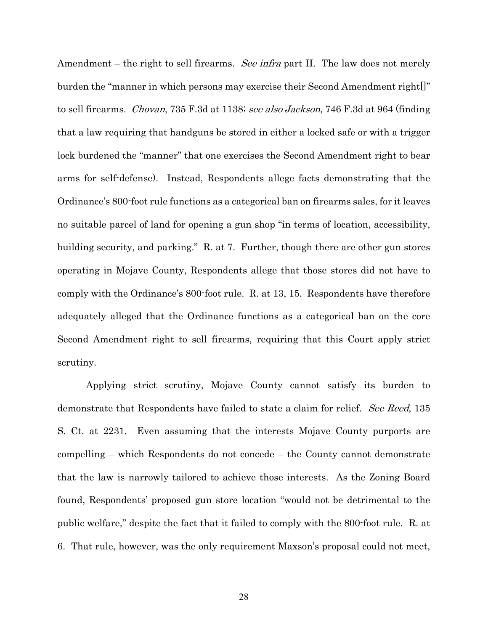Amendment – the right to sell firearms. See infra part II. The law does not merely burden the "manner in which persons may exercise their Second Amendment right[]" to sell firearms. *Chovan*, 735 F.3d at 1138; see also Jackson, 746 F.3d at 964 (finding that a law requiring that handguns be stored in either a locked safe or with a trigger lock burdened the "manner" that one exercises the Second Amendment right to bear arms for self-defense). Instead, Respondents allege facts demonstrating that the Ordinance's 800-foot rule functions as a categorical ban on firearms sales, for it leaves no suitable parcel of land for opening a gun shop "in terms of location, accessibility, building security, and parking." R. at 7. Further, though there are other gun stores operating in Mojave County, Respondents allege that those stores did not have to comply with the Ordinance's 800-foot rule. R. at 13, 15. Respondents have therefore adequately alleged that the Ordinance functions as a categorical ban on the core Second Amendment right to sell firearms, requiring that this Court apply strict scrutiny.

Applying strict scrutiny, Mojave County cannot satisfy its burden to demonstrate that Respondents have failed to state a claim for relief. See Reed, 135 S. Ct. at 2231. Even assuming that the interests Mojave County purports are compelling – which Respondents do not concede – the County cannot demonstrate that the law is narrowly tailored to achieve those interests. As the Zoning Board found, Respondents' proposed gun store location "would not be detrimental to the public welfare," despite the fact that it failed to comply with the 800-foot rule. R. at 6. That rule, however, was the only requirement Maxson's proposal could not meet,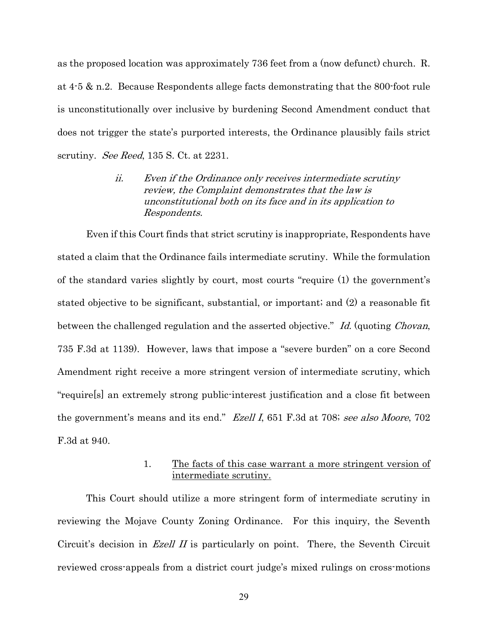as the proposed location was approximately 736 feet from a (now defunct) church. R. at 4-5 & n.2. Because Respondents allege facts demonstrating that the 800-foot rule is unconstitutionally over inclusive by burdening Second Amendment conduct that does not trigger the state's purported interests, the Ordinance plausibly fails strict scrutiny. *See Reed*, 135 S. Ct. at 2231.

> ii. Even if the Ordinance only receives intermediate scrutiny review, the Complaint demonstrates that the law is unconstitutional both on its face and in its application to Respondents.

Even if this Court finds that strict scrutiny is inappropriate, Respondents have stated a claim that the Ordinance fails intermediate scrutiny. While the formulation of the standard varies slightly by court, most courts "require (1) the government's stated objective to be significant, substantial, or important; and (2) a reasonable fit between the challenged regulation and the asserted objective." Id. (quoting Chovan, 735 F.3d at 1139). However, laws that impose a "severe burden" on a core Second Amendment right receive a more stringent version of intermediate scrutiny, which "require[s] an extremely strong public-interest justification and a close fit between the government's means and its end." Ezell I, 651 F.3d at 708; see also Moore, 702 F.3d at 940.

### 1. The facts of this case warrant a more stringent version of intermediate scrutiny.

This Court should utilize a more stringent form of intermediate scrutiny in reviewing the Mojave County Zoning Ordinance. For this inquiry, the Seventh Circuit's decision in *Ezell II* is particularly on point. There, the Seventh Circuit reviewed cross-appeals from a district court judge's mixed rulings on cross-motions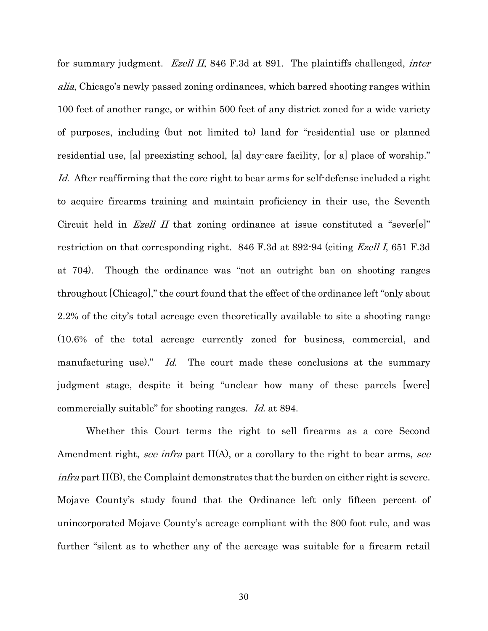for summary judgment. *Ezell II*, 846 F.3d at 891. The plaintiffs challenged, *inter* alia, Chicago's newly passed zoning ordinances, which barred shooting ranges within 100 feet of another range, or within 500 feet of any district zoned for a wide variety of purposes, including (but not limited to) land for "residential use or planned residential use, [a] preexisting school, [a] day-care facility, [or a] place of worship." Id. After reaffirming that the core right to bear arms for self-defense included a right to acquire firearms training and maintain proficiency in their use, the Seventh Circuit held in *Ezell II* that zoning ordinance at issue constituted a "sever[e]" restriction on that corresponding right. 846 F.3d at 892-94 (citing *Ezell I*, 651 F.3d at 704). Though the ordinance was "not an outright ban on shooting ranges throughout [Chicago]," the court found that the effect of the ordinance left "only about 2.2% of the city's total acreage even theoretically available to site a shooting range (10.6% of the total acreage currently zoned for business, commercial, and manufacturing use)." Id. The court made these conclusions at the summary judgment stage, despite it being "unclear how many of these parcels [were] commercially suitable" for shooting ranges. Id. at 894.

Whether this Court terms the right to sell firearms as a core Second Amendment right, see infra part  $II(A)$ , or a corollary to the right to bear arms, see *infra* part  $II(B)$ , the Complaint demonstrates that the burden on either right is severe. Mojave County's study found that the Ordinance left only fifteen percent of unincorporated Mojave County's acreage compliant with the 800 foot rule, and was further "silent as to whether any of the acreage was suitable for a firearm retail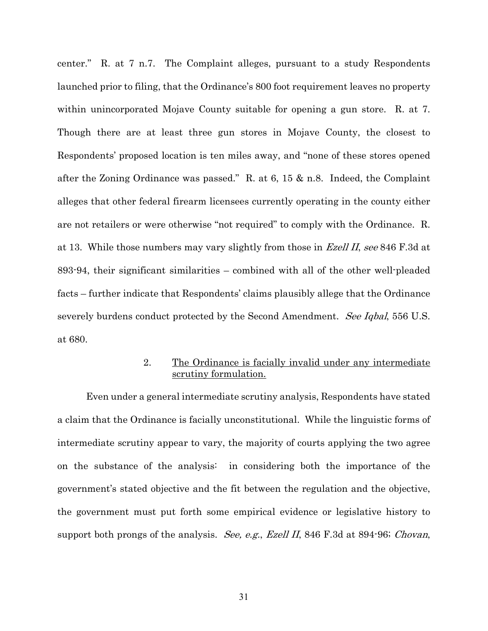center." R. at 7 n.7. The Complaint alleges, pursuant to a study Respondents launched prior to filing, that the Ordinance's 800 foot requirement leaves no property within unincorporated Mojave County suitable for opening a gun store. R. at 7. Though there are at least three gun stores in Mojave County, the closest to Respondents' proposed location is ten miles away, and "none of these stores opened after the Zoning Ordinance was passed." R. at 6, 15 & n.8. Indeed, the Complaint alleges that other federal firearm licensees currently operating in the county either are not retailers or were otherwise "not required" to comply with the Ordinance. R. at 13. While those numbers may vary slightly from those in *Ezell II, see* 846 F.3d at 893-94, their significant similarities – combined with all of the other well-pleaded facts – further indicate that Respondents' claims plausibly allege that the Ordinance severely burdens conduct protected by the Second Amendment. See Iqbal, 556 U.S. at 680.

## 2. The Ordinance is facially invalid under any intermediate scrutiny formulation.

Even under a general intermediate scrutiny analysis, Respondents have stated a claim that the Ordinance is facially unconstitutional. While the linguistic forms of intermediate scrutiny appear to vary, the majority of courts applying the two agree on the substance of the analysis: in considering both the importance of the government's stated objective and the fit between the regulation and the objective, the government must put forth some empirical evidence or legislative history to support both prongs of the analysis. See, e.g., Ezell II, 846 F.3d at 894-96; Chovan,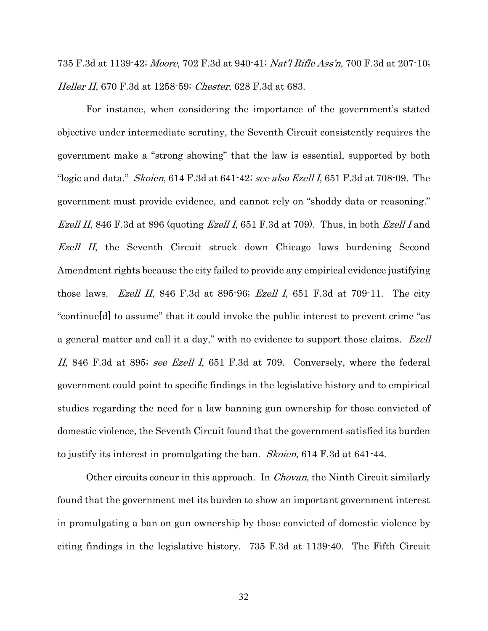735 F.3d at 1139-42; Moore, 702 F.3d at 940-41; Nat'l Rifle Ass'n, 700 F.3d at 207-10; Heller II, 670 F.3d at 1258-59; *Chester*, 628 F.3d at 683.

For instance, when considering the importance of the government's stated objective under intermediate scrutiny, the Seventh Circuit consistently requires the government make a "strong showing" that the law is essential, supported by both "logic and data." *Skoien*,  $614$  F.3d at  $641-42$ ; see also Ezell I,  $651$  F.3d at  $708-09$ . The government must provide evidence, and cannot rely on "shoddy data or reasoning." *Ezell II*, 846 F.3d at 896 (quoting *Ezell I*, 651 F.3d at 709). Thus, in both *Ezell I* and Ezell II, the Seventh Circuit struck down Chicago laws burdening Second Amendment rights because the city failed to provide any empirical evidence justifying those laws. Ezell II, 846 F.3d at 895-96; Ezell I, 651 F.3d at 709-11. The city "continue[d] to assume" that it could invoke the public interest to prevent crime "as a general matter and call it a day," with no evidence to support those claims. Ezell II, 846 F.3d at 895; see Ezell I, 651 F.3d at 709. Conversely, where the federal government could point to specific findings in the legislative history and to empirical studies regarding the need for a law banning gun ownership for those convicted of domestic violence, the Seventh Circuit found that the government satisfied its burden to justify its interest in promulgating the ban. Skoien, 614 F.3d at 641-44.

Other circuits concur in this approach. In *Chovan*, the Ninth Circuit similarly found that the government met its burden to show an important government interest in promulgating a ban on gun ownership by those convicted of domestic violence by citing findings in the legislative history. 735 F.3d at 1139-40. The Fifth Circuit

32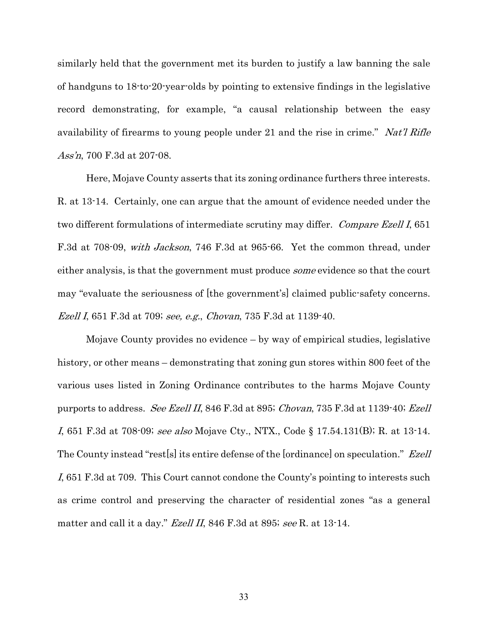similarly held that the government met its burden to justify a law banning the sale of handguns to 18-to-20-year-olds by pointing to extensive findings in the legislative record demonstrating, for example, "a causal relationship between the easy availability of firearms to young people under 21 and the rise in crime." Nat'l Rifle Ass'n, 700 F.3d at 207-08.

Here, Mojave County asserts that its zoning ordinance furthers three interests. R. at 13-14. Certainly, one can argue that the amount of evidence needed under the two different formulations of intermediate scrutiny may differ. Compare Ezell I, 651 F.3d at 708-09, with Jackson, 746 F.3d at 965-66. Yet the common thread, under either analysis, is that the government must produce *some* evidence so that the court may "evaluate the seriousness of [the government's] claimed public-safety concerns. Ezell I, 651 F.3d at 709; see, e.g., Chovan, 735 F.3d at 1139-40.

Mojave County provides no evidence – by way of empirical studies, legislative history, or other means – demonstrating that zoning gun stores within 800 feet of the various uses listed in Zoning Ordinance contributes to the harms Mojave County purports to address. See Ezell II, 846 F.3d at 895; Chovan, 735 F.3d at 1139-40; Ezell I, 651 F.3d at 708-09; see also Mojave Cty., NTX., Code § 17.54.131(B); R. at 13-14. The County instead "rest[s] its entire defense of the [ordinance] on speculation." Ezell I, 651 F.3d at 709. This Court cannot condone the County's pointing to interests such as crime control and preserving the character of residential zones "as a general matter and call it a day." *Ezell II*, 846 F.3d at 895; see R. at 13-14.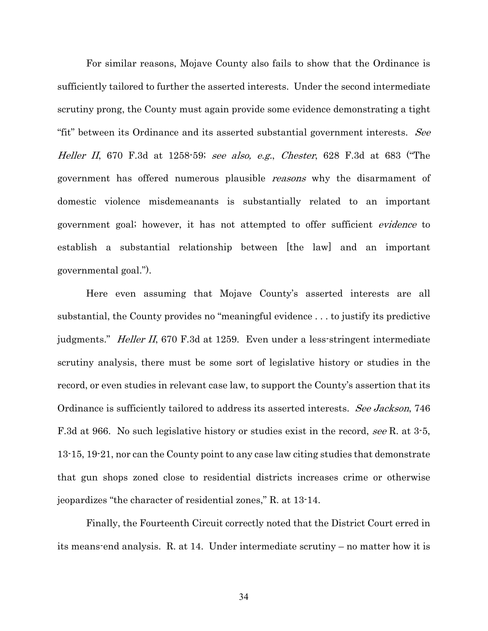For similar reasons, Mojave County also fails to show that the Ordinance is sufficiently tailored to further the asserted interests. Under the second intermediate scrutiny prong, the County must again provide some evidence demonstrating a tight "fit" between its Ordinance and its asserted substantial government interests. See Heller II, 670 F.3d at 1258-59; see also, e.g., Chester, 628 F.3d at 683 ("The government has offered numerous plausible reasons why the disarmament of domestic violence misdemeanants is substantially related to an important government goal; however, it has not attempted to offer sufficient evidence to establish a substantial relationship between [the law] and an important governmental goal.").

Here even assuming that Mojave County's asserted interests are all substantial, the County provides no "meaningful evidence . . . to justify its predictive judgments." *Heller II*, 670 F.3d at 1259. Even under a less-stringent intermediate scrutiny analysis, there must be some sort of legislative history or studies in the record, or even studies in relevant case law, to support the County's assertion that its Ordinance is sufficiently tailored to address its asserted interests. See Jackson, 746 F.3d at 966. No such legislative history or studies exist in the record, see R. at 3.5, 13-15, 19-21, nor can the County point to any case law citing studies that demonstrate that gun shops zoned close to residential districts increases crime or otherwise jeopardizes "the character of residential zones," R. at 13-14.

Finally, the Fourteenth Circuit correctly noted that the District Court erred in its means-end analysis. R. at 14. Under intermediate scrutiny – no matter how it is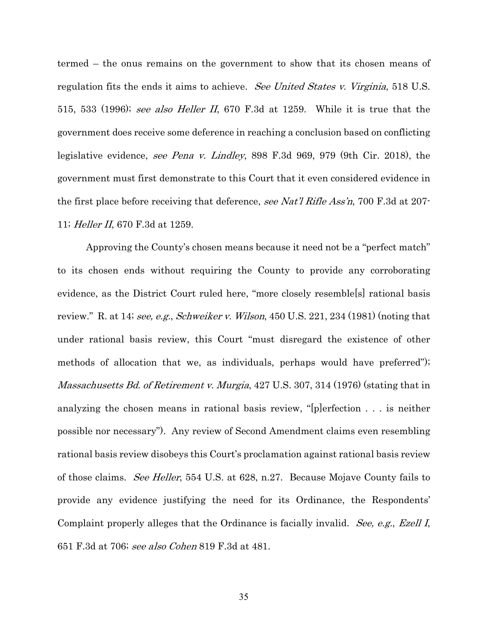termed – the onus remains on the government to show that its chosen means of regulation fits the ends it aims to achieve. See United States v. Virginia, 518 U.S. 515, 533 (1996); see also Heller II, 670 F.3d at 1259. While it is true that the government does receive some deference in reaching a conclusion based on conflicting legislative evidence, see Pena v. Lindley, 898 F.3d 969, 979 (9th Cir. 2018), the government must first demonstrate to this Court that it even considered evidence in the first place before receiving that deference, see Nat'l Rifle Ass'n, 700 F.3d at 207-11; Heller II, 670 F.3d at 1259.

Approving the County's chosen means because it need not be a "perfect match" to its chosen ends without requiring the County to provide any corroborating evidence, as the District Court ruled here, "more closely resemble[s] rational basis review." R. at 14; see, e.g., Schweiker v. Wilson, 450 U.S. 221, 234 (1981) (noting that under rational basis review, this Court "must disregard the existence of other methods of allocation that we, as individuals, perhaps would have preferred"); Massachusetts Bd. of Retirement v. Murgia, 427 U.S. 307, 314 (1976) (stating that in analyzing the chosen means in rational basis review, "[p]erfection . . . is neither possible nor necessary"). Any review of Second Amendment claims even resembling rational basis review disobeys this Court's proclamation against rational basis review of those claims. See Heller, 554 U.S. at 628, n.27. Because Mojave County fails to provide any evidence justifying the need for its Ordinance, the Respondents' Complaint properly alleges that the Ordinance is facially invalid. See, e.g., Ezell I, 651 F.3d at 706; see also Cohen 819 F.3d at 481.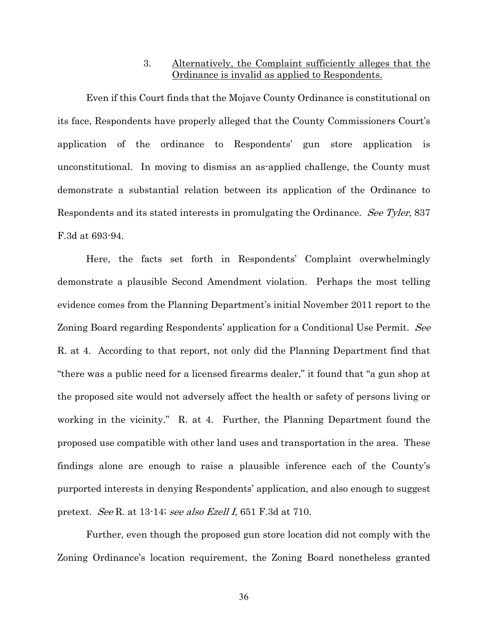### 3. Alternatively, the Complaint sufficiently alleges that the Ordinance is invalid as applied to Respondents.

Even if this Court finds that the Mojave County Ordinance is constitutional on its face, Respondents have properly alleged that the County Commissioners Court's application of the ordinance to Respondents' gun store application is unconstitutional. In moving to dismiss an as-applied challenge, the County must demonstrate a substantial relation between its application of the Ordinance to Respondents and its stated interests in promulgating the Ordinance. See Tyler, 837 F.3d at 693-94.

Here, the facts set forth in Respondents' Complaint overwhelmingly demonstrate a plausible Second Amendment violation. Perhaps the most telling evidence comes from the Planning Department's initial November 2011 report to the Zoning Board regarding Respondents' application for a Conditional Use Permit. See R. at 4. According to that report, not only did the Planning Department find that "there was a public need for a licensed firearms dealer," it found that "a gun shop at the proposed site would not adversely affect the health or safety of persons living or working in the vicinity." R. at 4. Further, the Planning Department found the proposed use compatible with other land uses and transportation in the area. These findings alone are enough to raise a plausible inference each of the County's purported interests in denying Respondents' application, and also enough to suggest pretext. See R. at 13-14; see also Ezell I, 651 F.3d at 710.

Further, even though the proposed gun store location did not comply with the Zoning Ordinance's location requirement, the Zoning Board nonetheless granted

36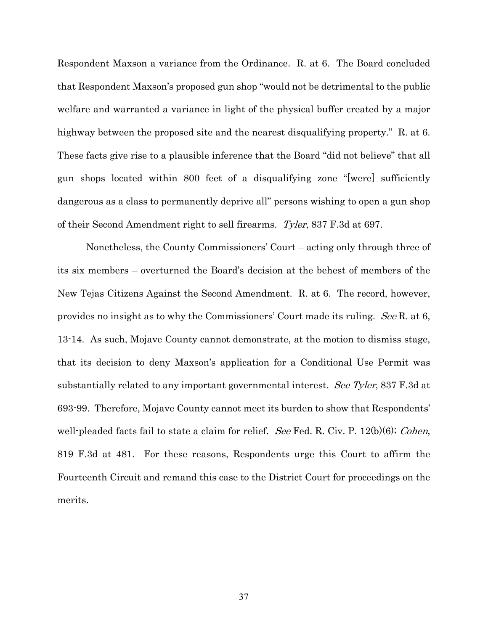Respondent Maxson a variance from the Ordinance. R. at 6. The Board concluded that Respondent Maxson's proposed gun shop "would not be detrimental to the public welfare and warranted a variance in light of the physical buffer created by a major highway between the proposed site and the nearest disqualifying property." R. at 6. These facts give rise to a plausible inference that the Board "did not believe" that all gun shops located within 800 feet of a disqualifying zone "[were] sufficiently dangerous as a class to permanently deprive all" persons wishing to open a gun shop of their Second Amendment right to sell firearms. Tyler, 837 F.3d at 697.

Nonetheless, the County Commissioners' Court – acting only through three of its six members – overturned the Board's decision at the behest of members of the New Tejas Citizens Against the Second Amendment. R. at 6. The record, however, provides no insight as to why the Commissioners' Court made its ruling. See R. at 6, 13-14. As such, Mojave County cannot demonstrate, at the motion to dismiss stage, that its decision to deny Maxson's application for a Conditional Use Permit was substantially related to any important governmental interest. See Tyler, 837 F.3d at 693-99. Therefore, Mojave County cannot meet its burden to show that Respondents' well-pleaded facts fail to state a claim for relief. See Fed. R. Civ. P.  $12(b)(6)$ ; Cohen, 819 F.3d at 481. For these reasons, Respondents urge this Court to affirm the Fourteenth Circuit and remand this case to the District Court for proceedings on the merits.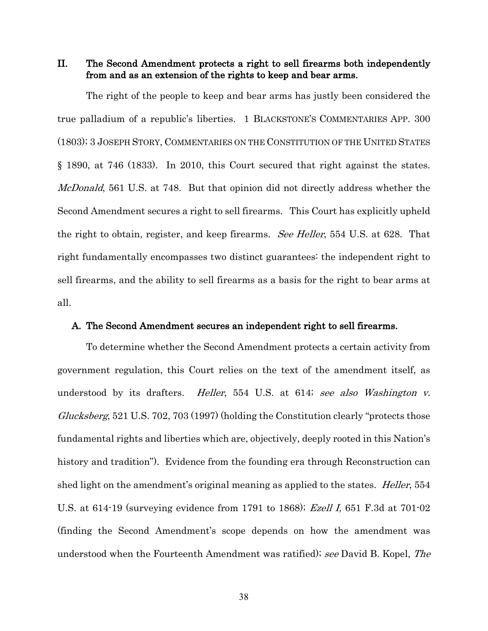II. The Second Amendment protects a right to sell firearms both independently from and as an extension of the rights to keep and bear arms.

The right of the people to keep and bear arms has justly been considered the true palladium of a republic's liberties. 1 BLACKSTONE'S COMMENTARIES APP. 300 (1803); 3 JOSEPH STORY, COMMENTARIES ON THE CONSTITUTION OF THE UNITED STATES § 1890, at 746 (1833). In 2010, this Court secured that right against the states. McDonald, 561 U.S. at 748. But that opinion did not directly address whether the Second Amendment secures a right to sell firearms. This Court has explicitly upheld the right to obtain, register, and keep firearms. See Heller, 554 U.S. at 628. That right fundamentally encompasses two distinct guarantees: the independent right to sell firearms, and the ability to sell firearms as a basis for the right to bear arms at all.

#### A. The Second Amendment secures an independent right to sell firearms.

To determine whether the Second Amendment protects a certain activity from government regulation, this Court relies on the text of the amendment itself, as understood by its drafters. *Heller*, 554 U.S. at 614; see also Washington v. Glucksberg, 521 U.S. 702, 703 (1997) (holding the Constitution clearly "protects those fundamental rights and liberties which are, objectively, deeply rooted in this Nation's history and tradition"). Evidence from the founding era through Reconstruction can shed light on the amendment's original meaning as applied to the states. *Heller*, 554 U.S. at 614-19 (surveying evidence from 1791 to 1868); Ezell I, 651 F.3d at 701-02 (finding the Second Amendment's scope depends on how the amendment was understood when the Fourteenth Amendment was ratified); see David B. Kopel, The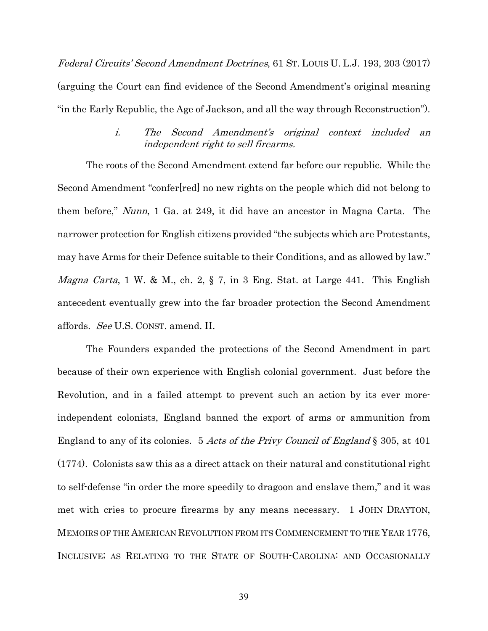Federal Circuits' Second Amendment Doctrines, 61 ST. LOUIS U. L.J. 193, 203 (2017) (arguing the Court can find evidence of the Second Amendment's original meaning "in the Early Republic, the Age of Jackson, and all the way through Reconstruction").

## i. The Second Amendment's original context included an independent right to sell firearms.

The roots of the Second Amendment extend far before our republic. While the Second Amendment "confer[red] no new rights on the people which did not belong to them before," Nunn, 1 Ga. at 249, it did have an ancestor in Magna Carta. The narrower protection for English citizens provided "the subjects which are Protestants, may have Arms for their Defence suitable to their Conditions, and as allowed by law." *Magna Carta*, 1 W. & M., ch. 2,  $\S$  7, in 3 Eng. Stat. at Large 441. This English antecedent eventually grew into the far broader protection the Second Amendment affords. See U.S. CONST. amend. II.

The Founders expanded the protections of the Second Amendment in part because of their own experience with English colonial government. Just before the Revolution, and in a failed attempt to prevent such an action by its ever moreindependent colonists, England banned the export of arms or ammunition from England to any of its colonies. 5 Acts of the Privy Council of England § 305, at 401 (1774). Colonists saw this as a direct attack on their natural and constitutional right to self-defense "in order the more speedily to dragoon and enslave them," and it was met with cries to procure firearms by any means necessary. 1 JOHN DRAYTON, MEMOIRS OF THE AMERICAN REVOLUTION FROM ITS COMMENCEMENT TO THE YEAR 1776, INCLUSIVE; AS RELATING TO THE STATE OF SOUTH-CAROLINA: AND OCCASIONALLY

39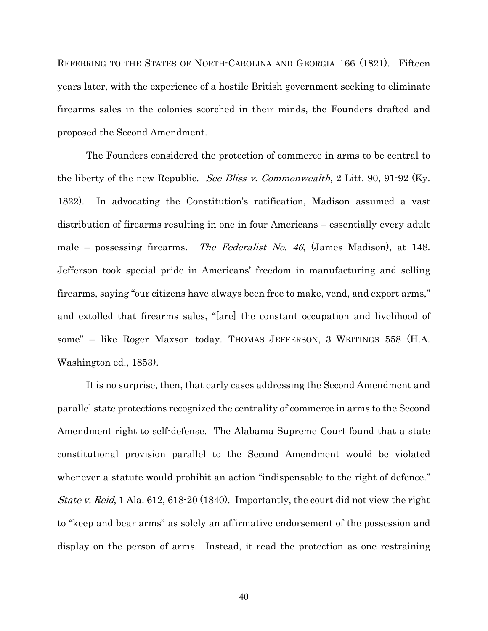REFERRING TO THE STATES OF NORTH-CAROLINA AND GEORGIA 166 (1821). Fifteen years later, with the experience of a hostile British government seeking to eliminate firearms sales in the colonies scorched in their minds, the Founders drafted and proposed the Second Amendment.

The Founders considered the protection of commerce in arms to be central to the liberty of the new Republic. *See Bliss v. Commonwealth*, 2 Litt. 90, 91-92 (Ky. 1822). In advocating the Constitution's ratification, Madison assumed a vast distribution of firearms resulting in one in four Americans – essentially every adult male – possessing firearms. The Federalist No. 46, (James Madison), at 148. Jefferson took special pride in Americans' freedom in manufacturing and selling firearms, saying "our citizens have always been free to make, vend, and export arms," and extolled that firearms sales, "[are] the constant occupation and livelihood of some" – like Roger Maxson today. THOMAS JEFFERSON, 3 WRITINGS 558 (H.A. Washington ed., 1853).

It is no surprise, then, that early cases addressing the Second Amendment and parallel state protections recognized the centrality of commerce in arms to the Second Amendment right to self-defense. The Alabama Supreme Court found that a state constitutional provision parallel to the Second Amendment would be violated whenever a statute would prohibit an action "indispensable to the right of defence." *State v. Reid*, 1 Ala. 612, 618-20 (1840). Importantly, the court did not view the right to "keep and bear arms" as solely an affirmative endorsement of the possession and display on the person of arms. Instead, it read the protection as one restraining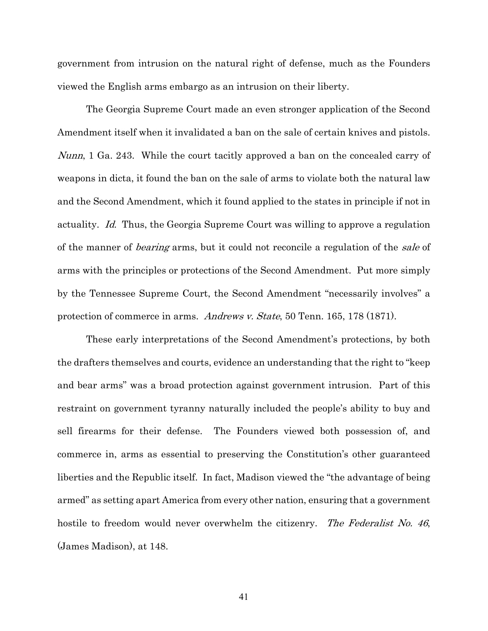government from intrusion on the natural right of defense, much as the Founders viewed the English arms embargo as an intrusion on their liberty.

The Georgia Supreme Court made an even stronger application of the Second Amendment itself when it invalidated a ban on the sale of certain knives and pistols. Nunn, 1 Ga. 243. While the court tacitly approved a ban on the concealed carry of weapons in dicta, it found the ban on the sale of arms to violate both the natural law and the Second Amendment, which it found applied to the states in principle if not in actuality. Id. Thus, the Georgia Supreme Court was willing to approve a regulation of the manner of *bearing* arms, but it could not reconcile a regulation of the *sale* of arms with the principles or protections of the Second Amendment. Put more simply by the Tennessee Supreme Court, the Second Amendment "necessarily involves" a protection of commerce in arms. Andrews v. State, 50 Tenn. 165, 178 (1871).

These early interpretations of the Second Amendment's protections, by both the drafters themselves and courts, evidence an understanding that the right to "keep and bear arms" was a broad protection against government intrusion. Part of this restraint on government tyranny naturally included the people's ability to buy and sell firearms for their defense. The Founders viewed both possession of, and commerce in, arms as essential to preserving the Constitution's other guaranteed liberties and the Republic itself. In fact, Madison viewed the "the advantage of being armed" as setting apart America from every other nation, ensuring that a government hostile to freedom would never overwhelm the citizenry. The Federalist No. 46, (James Madison), at 148.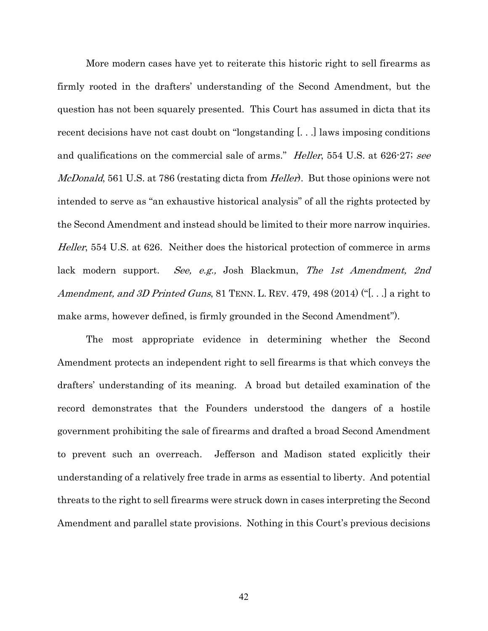More modern cases have yet to reiterate this historic right to sell firearms as firmly rooted in the drafters' understanding of the Second Amendment, but the question has not been squarely presented. This Court has assumed in dicta that its recent decisions have not cast doubt on "longstanding [. . .] laws imposing conditions and qualifications on the commercial sale of arms." *Heller*, 554 U.S. at 626-27; see McDonald, 561 U.S. at 786 (restating dicta from *Heller*). But those opinions were not intended to serve as "an exhaustive historical analysis" of all the rights protected by the Second Amendment and instead should be limited to their more narrow inquiries. Heller, 554 U.S. at 626. Neither does the historical protection of commerce in arms lack modern support. See, e.g., Josh Blackmun, The 1st Amendment, 2nd Amendment, and 3D Printed Guns, 81 TENN. L. REV. 479, 498 (2014) ("[...] a right to make arms, however defined, is firmly grounded in the Second Amendment").

The most appropriate evidence in determining whether the Second Amendment protects an independent right to sell firearms is that which conveys the drafters' understanding of its meaning. A broad but detailed examination of the record demonstrates that the Founders understood the dangers of a hostile government prohibiting the sale of firearms and drafted a broad Second Amendment to prevent such an overreach. Jefferson and Madison stated explicitly their understanding of a relatively free trade in arms as essential to liberty. And potential threats to the right to sell firearms were struck down in cases interpreting the Second Amendment and parallel state provisions. Nothing in this Court's previous decisions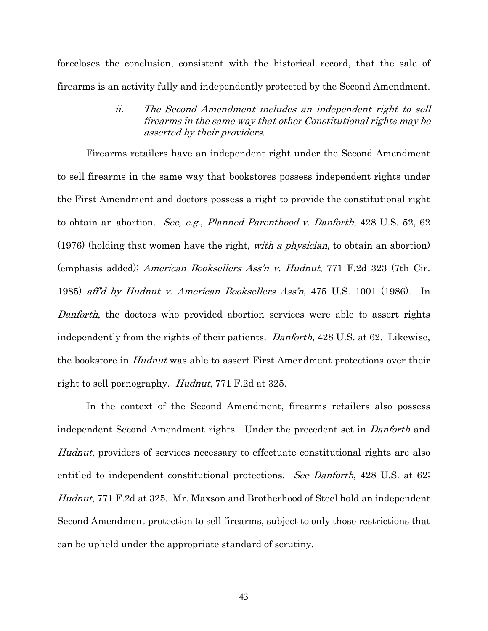forecloses the conclusion, consistent with the historical record, that the sale of firearms is an activity fully and independently protected by the Second Amendment.

> ii. The Second Amendment includes an independent right to sell firearms in the same way that other Constitutional rights may be asserted by their providers.

Firearms retailers have an independent right under the Second Amendment to sell firearms in the same way that bookstores possess independent rights under the First Amendment and doctors possess a right to provide the constitutional right to obtain an abortion. See, e.g., Planned Parenthood v. Danforth, 428 U.S. 52, 62 (1976) (holding that women have the right, with a physician, to obtain an abortion) (emphasis added); American Booksellers Ass'n v. Hudnut, 771 F.2d 323 (7th Cir. 1985) aff'd by Hudnut v. American Booksellers Ass'n, 475 U.S. 1001 (1986). In Danforth, the doctors who provided abortion services were able to assert rights independently from the rights of their patients. Danforth, 428 U.S. at 62. Likewise, the bookstore in Hudnut was able to assert First Amendment protections over their right to sell pornography. Hudnut, 771 F.2d at 325.

In the context of the Second Amendment, firearms retailers also possess independent Second Amendment rights. Under the precedent set in Danforth and Hudnut, providers of services necessary to effectuate constitutional rights are also entitled to independent constitutional protections. See Danforth, 428 U.S. at 62; Hudnut, 771 F.2d at 325. Mr. Maxson and Brotherhood of Steel hold an independent Second Amendment protection to sell firearms, subject to only those restrictions that can be upheld under the appropriate standard of scrutiny.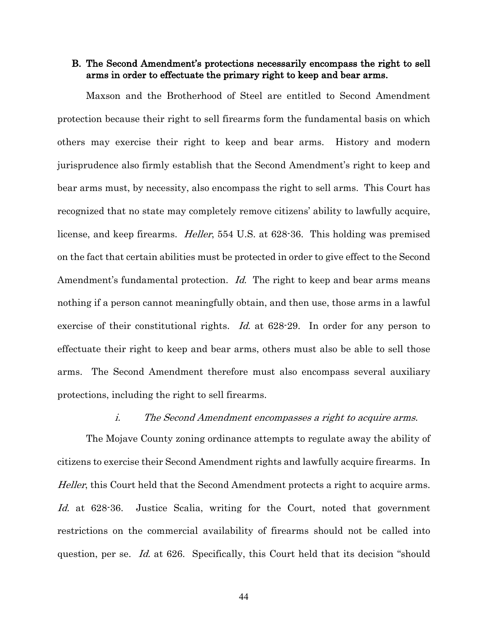### B. The Second Amendment's protections necessarily encompass the right to sell arms in order to effectuate the primary right to keep and bear arms.

Maxson and the Brotherhood of Steel are entitled to Second Amendment protection because their right to sell firearms form the fundamental basis on which others may exercise their right to keep and bear arms. History and modern jurisprudence also firmly establish that the Second Amendment's right to keep and bear arms must, by necessity, also encompass the right to sell arms. This Court has recognized that no state may completely remove citizens' ability to lawfully acquire, license, and keep firearms. Heller, 554 U.S. at 628-36. This holding was premised on the fact that certain abilities must be protected in order to give effect to the Second Amendment's fundamental protection. Id. The right to keep and bear arms means nothing if a person cannot meaningfully obtain, and then use, those arms in a lawful exercise of their constitutional rights. *Id.* at 628-29. In order for any person to effectuate their right to keep and bear arms, others must also be able to sell those arms. The Second Amendment therefore must also encompass several auxiliary protections, including the right to sell firearms.

#### i. The Second Amendment encompasses a right to acquire arms.

The Mojave County zoning ordinance attempts to regulate away the ability of citizens to exercise their Second Amendment rights and lawfully acquire firearms. In Heller, this Court held that the Second Amendment protects a right to acquire arms. Id. at 628-36. Justice Scalia, writing for the Court, noted that government restrictions on the commercial availability of firearms should not be called into question, per se. Id. at 626. Specifically, this Court held that its decision "should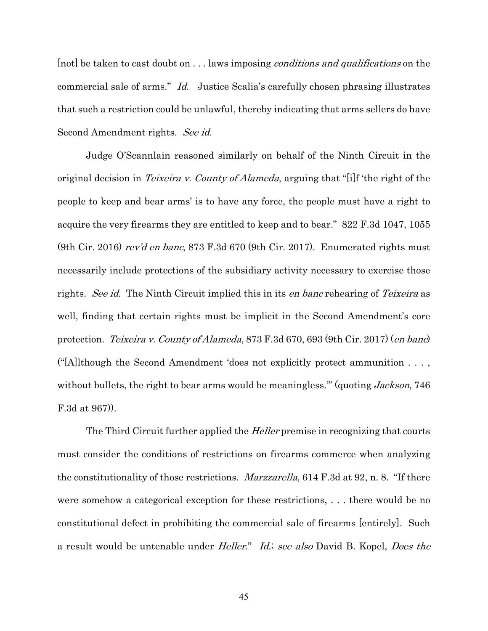[not] be taken to cast doubt on . . . laws imposing *conditions and qualifications* on the commercial sale of arms." Id. Justice Scalia's carefully chosen phrasing illustrates that such a restriction could be unlawful, thereby indicating that arms sellers do have Second Amendment rights. See id.

Judge O'Scannlain reasoned similarly on behalf of the Ninth Circuit in the original decision in *Teixeira v. County of Alameda*, arguing that "[i]f 'the right of the people to keep and bear arms' is to have any force, the people must have a right to acquire the very firearms they are entitled to keep and to bear." 822 F.3d 1047, 1055 (9th Cir. 2016) rev'd en banc, 873 F.3d 670 (9th Cir. 2017). Enumerated rights must necessarily include protections of the subsidiary activity necessary to exercise those rights. See id. The Ninth Circuit implied this in its en banc rehearing of Teixeira as well, finding that certain rights must be implicit in the Second Amendment's core protection. Teixeira v. County of Alameda, 873 F.3d 670, 693 (9th Cir. 2017) (en banc) ("[A]lthough the Second Amendment 'does not explicitly protect ammunition . . . , without bullets, the right to bear arms would be meaningless." (quoting Jackson, 746 F.3d at 967)).

The Third Circuit further applied the *Heller* premise in recognizing that courts must consider the conditions of restrictions on firearms commerce when analyzing the constitutionality of those restrictions. Marzzarella, 614 F.3d at 92, n. 8. "If there were somehow a categorical exception for these restrictions, . . . there would be no constitutional defect in prohibiting the commercial sale of firearms [entirely]. Such a result would be untenable under *Heller.*" *Id.*; see also David B. Kopel, *Does the*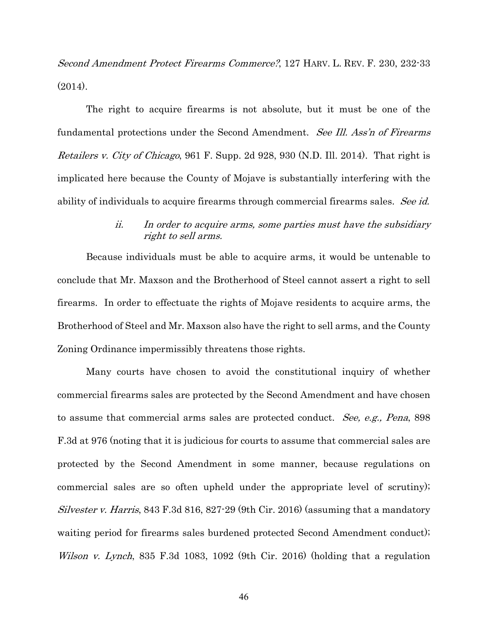Second Amendment Protect Firearms Commerce?, 127 HARV. L. REV. F. 230, 232-33 (2014).

The right to acquire firearms is not absolute, but it must be one of the fundamental protections under the Second Amendment. See Ill. Ass'n of Firearms Retailers v. City of Chicago, 961 F. Supp. 2d 928, 930 (N.D. Ill. 2014). That right is implicated here because the County of Mojave is substantially interfering with the ability of individuals to acquire firearms through commercial firearms sales. See id.

### ii. In order to acquire arms, some parties must have the subsidiary right to sell arms.

Because individuals must be able to acquire arms, it would be untenable to conclude that Mr. Maxson and the Brotherhood of Steel cannot assert a right to sell firearms. In order to effectuate the rights of Mojave residents to acquire arms, the Brotherhood of Steel and Mr. Maxson also have the right to sell arms, and the County Zoning Ordinance impermissibly threatens those rights.

Many courts have chosen to avoid the constitutional inquiry of whether commercial firearms sales are protected by the Second Amendment and have chosen to assume that commercial arms sales are protected conduct. See, e.g., Pena, 898 F.3d at 976 (noting that it is judicious for courts to assume that commercial sales are protected by the Second Amendment in some manner, because regulations on commercial sales are so often upheld under the appropriate level of scrutiny); Silvester v. Harris, 843 F.3d 816, 827-29 (9th Cir. 2016) (assuming that a mandatory waiting period for firearms sales burdened protected Second Amendment conduct); Wilson v. Lynch, 835 F.3d 1083, 1092 (9th Cir. 2016) (holding that a regulation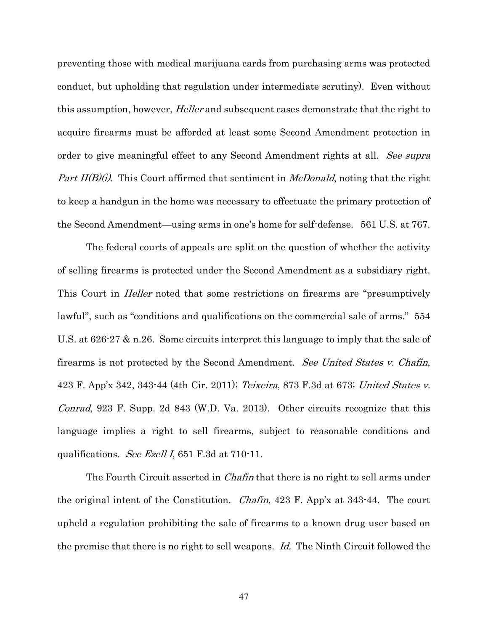preventing those with medical marijuana cards from purchasing arms was protected conduct, but upholding that regulation under intermediate scrutiny). Even without this assumption, however, *Heller* and subsequent cases demonstrate that the right to acquire firearms must be afforded at least some Second Amendment protection in order to give meaningful effect to any Second Amendment rights at all. See supra *Part II(B)(i).* This Court affirmed that sentiment in *McDonald*, noting that the right to keep a handgun in the home was necessary to effectuate the primary protection of the Second Amendment—using arms in one's home for self-defense. 561 U.S. at 767.

The federal courts of appeals are split on the question of whether the activity of selling firearms is protected under the Second Amendment as a subsidiary right. This Court in *Heller* noted that some restrictions on firearms are "presumptively lawful", such as "conditions and qualifications on the commercial sale of arms." 554 U.S. at 626-27 & n.26. Some circuits interpret this language to imply that the sale of firearms is not protected by the Second Amendment. See United States v. Chafin, 423 F. App'x 342, 343-44 (4th Cir. 2011); Teixeira, 873 F.3d at 673; United States v. *Conrad*, 923 F. Supp. 2d 843 (W.D. Va. 2013). Other circuits recognize that this language implies a right to sell firearms, subject to reasonable conditions and qualifications. See Ezell I, 651 F.3d at 710-11.

The Fourth Circuit asserted in *Chafin* that there is no right to sell arms under the original intent of the Constitution. Chafin, 423 F. App'x at 343-44. The court upheld a regulation prohibiting the sale of firearms to a known drug user based on the premise that there is no right to sell weapons. Id. The Ninth Circuit followed the

47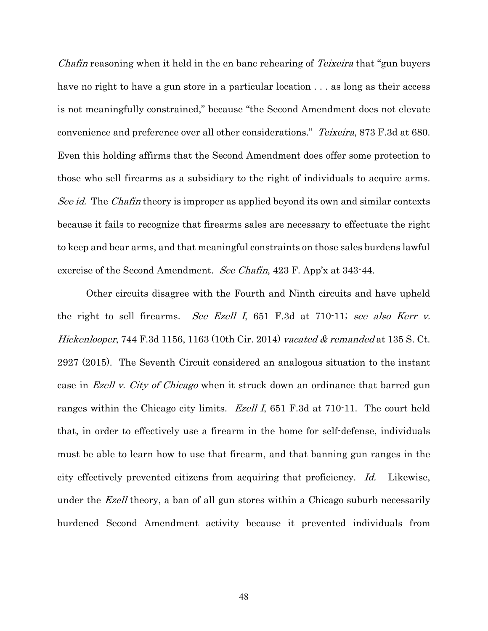Chafin reasoning when it held in the en banc rehearing of Teixeira that "gun buyers" have no right to have a gun store in a particular location . . . as long as their access is not meaningfully constrained," because "the Second Amendment does not elevate convenience and preference over all other considerations." Teixeira, 873 F.3d at 680. Even this holding affirms that the Second Amendment does offer some protection to those who sell firearms as a subsidiary to the right of individuals to acquire arms. See id. The Chafin theory is improper as applied beyond its own and similar contexts because it fails to recognize that firearms sales are necessary to effectuate the right to keep and bear arms, and that meaningful constraints on those sales burdens lawful exercise of the Second Amendment. See Chafin, 423 F. App'x at 343-44.

Other circuits disagree with the Fourth and Ninth circuits and have upheld the right to sell firearms. See Ezell I, 651 F.3d at 710-11; see also Kerr v. Hickenlooper, 744 F.3d 1156, 1163 (10th Cir. 2014) vacated  $&$  remanded at 135 S. Ct. 2927 (2015). The Seventh Circuit considered an analogous situation to the instant case in *Ezell v. City of Chicago* when it struck down an ordinance that barred gun ranges within the Chicago city limits. *Ezell I*, 651 F.3d at 710-11. The court held that, in order to effectively use a firearm in the home for self-defense, individuals must be able to learn how to use that firearm, and that banning gun ranges in the city effectively prevented citizens from acquiring that proficiency. Id. Likewise, under the *Ezell* theory, a ban of all gun stores within a Chicago suburb necessarily burdened Second Amendment activity because it prevented individuals from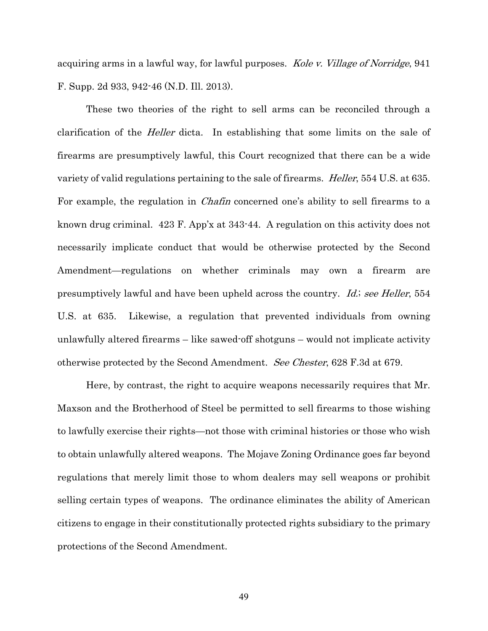acquiring arms in a lawful way, for lawful purposes. Kole v. Village of Norridge, 941 F. Supp. 2d 933, 942-46 (N.D. Ill. 2013).

These two theories of the right to sell arms can be reconciled through a clarification of the *Heller* dicta. In establishing that some limits on the sale of firearms are presumptively lawful, this Court recognized that there can be a wide variety of valid regulations pertaining to the sale of firearms. *Heller*, 554 U.S. at 635. For example, the regulation in *Chafin* concerned one's ability to sell firearms to a known drug criminal. 423 F. App'x at 343-44. A regulation on this activity does not necessarily implicate conduct that would be otherwise protected by the Second Amendment—regulations on whether criminals may own a firearm are presumptively lawful and have been upheld across the country. *Id.; see Heller*, 554 U.S. at 635. Likewise, a regulation that prevented individuals from owning unlawfully altered firearms – like sawed-off shotguns – would not implicate activity otherwise protected by the Second Amendment. See Chester, 628 F.3d at 679.

Here, by contrast, the right to acquire weapons necessarily requires that Mr. Maxson and the Brotherhood of Steel be permitted to sell firearms to those wishing to lawfully exercise their rights—not those with criminal histories or those who wish to obtain unlawfully altered weapons. The Mojave Zoning Ordinance goes far beyond regulations that merely limit those to whom dealers may sell weapons or prohibit selling certain types of weapons. The ordinance eliminates the ability of American citizens to engage in their constitutionally protected rights subsidiary to the primary protections of the Second Amendment.

49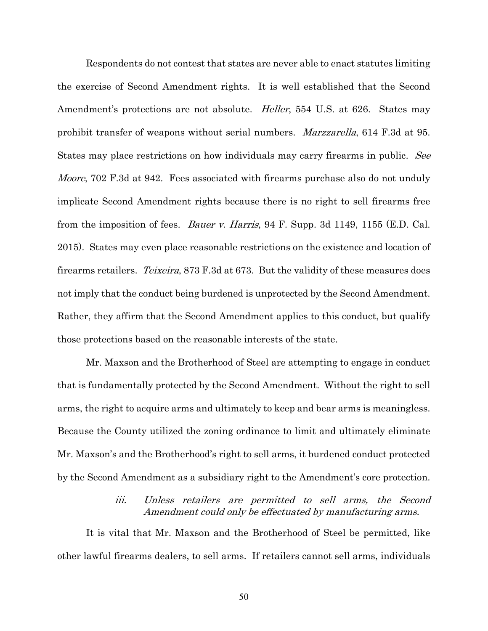Respondents do not contest that states are never able to enact statutes limiting the exercise of Second Amendment rights. It is well established that the Second Amendment's protections are not absolute. *Heller*, 554 U.S. at 626. States may prohibit transfer of weapons without serial numbers. Marzzarella, 614 F.3d at 95. States may place restrictions on how individuals may carry firearms in public. See *Moore*, 702 F.3d at 942. Fees associated with firearms purchase also do not unduly implicate Second Amendment rights because there is no right to sell firearms free from the imposition of fees. *Bauer v. Harris*, 94 F. Supp. 3d 1149, 1155 (E.D. Cal. 2015). States may even place reasonable restrictions on the existence and location of firearms retailers. *Teixeira*, 873 F.3d at 673. But the validity of these measures does not imply that the conduct being burdened is unprotected by the Second Amendment. Rather, they affirm that the Second Amendment applies to this conduct, but qualify those protections based on the reasonable interests of the state.

Mr. Maxson and the Brotherhood of Steel are attempting to engage in conduct that is fundamentally protected by the Second Amendment. Without the right to sell arms, the right to acquire arms and ultimately to keep and bear arms is meaningless. Because the County utilized the zoning ordinance to limit and ultimately eliminate Mr. Maxson's and the Brotherhood's right to sell arms, it burdened conduct protected by the Second Amendment as a subsidiary right to the Amendment's core protection.

## iii. Unless retailers are permitted to sell arms, the Second Amendment could only be effectuated by manufacturing arms.

It is vital that Mr. Maxson and the Brotherhood of Steel be permitted, like other lawful firearms dealers, to sell arms. If retailers cannot sell arms, individuals

50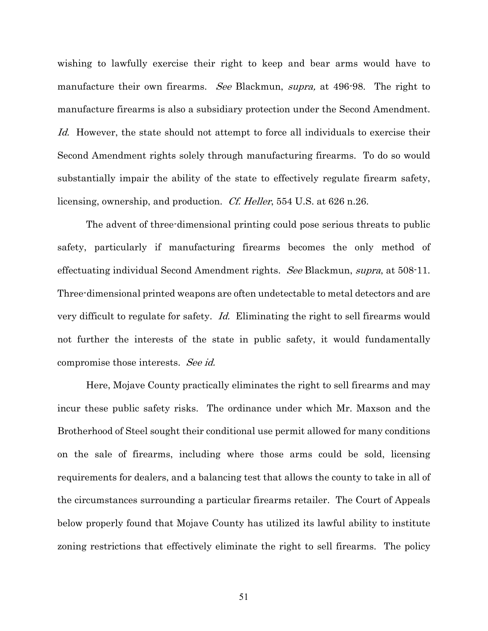wishing to lawfully exercise their right to keep and bear arms would have to manufacture their own firearms. See Blackmun, supra, at 496-98. The right to manufacture firearms is also a subsidiary protection under the Second Amendment. Id. However, the state should not attempt to force all individuals to exercise their Second Amendment rights solely through manufacturing firearms. To do so would substantially impair the ability of the state to effectively regulate firearm safety, licensing, ownership, and production. Cf. Heller, 554 U.S. at 626 n.26.

The advent of three-dimensional printing could pose serious threats to public safety, particularly if manufacturing firearms becomes the only method of effectuating individual Second Amendment rights. See Blackmun, supra, at 508-11. Three-dimensional printed weapons are often undetectable to metal detectors and are very difficult to regulate for safety. Id. Eliminating the right to sell firearms would not further the interests of the state in public safety, it would fundamentally compromise those interests. See id.

Here, Mojave County practically eliminates the right to sell firearms and may incur these public safety risks. The ordinance under which Mr. Maxson and the Brotherhood of Steel sought their conditional use permit allowed for many conditions on the sale of firearms, including where those arms could be sold, licensing requirements for dealers, and a balancing test that allows the county to take in all of the circumstances surrounding a particular firearms retailer. The Court of Appeals below properly found that Mojave County has utilized its lawful ability to institute zoning restrictions that effectively eliminate the right to sell firearms. The policy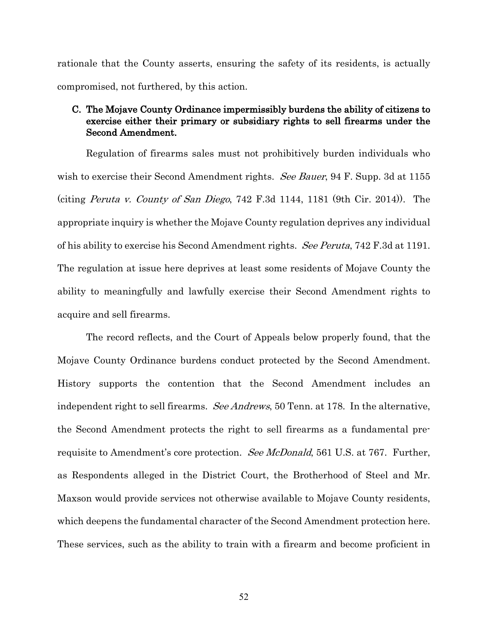rationale that the County asserts, ensuring the safety of its residents, is actually compromised, not furthered, by this action.

## C. The Mojave County Ordinance impermissibly burdens the ability of citizens to exercise either their primary or subsidiary rights to sell firearms under the Second Amendment.

Regulation of firearms sales must not prohibitively burden individuals who wish to exercise their Second Amendment rights. See Bauer, 94 F. Supp. 3d at 1155 (citing *Peruta v. County of San Diego*,  $742$  F.3d  $1144$ ,  $1181$  (9th Cir. 2014)). The appropriate inquiry is whether the Mojave County regulation deprives any individual of his ability to exercise his Second Amendment rights. See Peruta, 742 F.3d at 1191. The regulation at issue here deprives at least some residents of Mojave County the ability to meaningfully and lawfully exercise their Second Amendment rights to acquire and sell firearms.

The record reflects, and the Court of Appeals below properly found, that the Mojave County Ordinance burdens conduct protected by the Second Amendment. History supports the contention that the Second Amendment includes an independent right to sell firearms. See Andrews, 50 Tenn. at 178. In the alternative, the Second Amendment protects the right to sell firearms as a fundamental prerequisite to Amendment's core protection. See McDonald, 561 U.S. at 767. Further, as Respondents alleged in the District Court, the Brotherhood of Steel and Mr. Maxson would provide services not otherwise available to Mojave County residents, which deepens the fundamental character of the Second Amendment protection here. These services, such as the ability to train with a firearm and become proficient in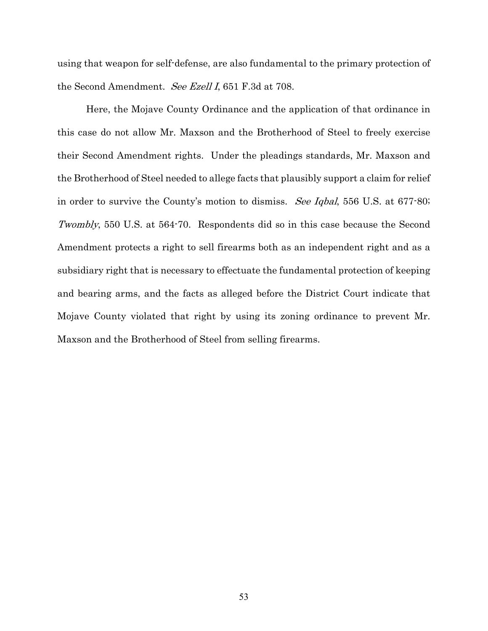using that weapon for self-defense, are also fundamental to the primary protection of the Second Amendment. See Ezell I, 651 F.3d at 708.

Here, the Mojave County Ordinance and the application of that ordinance in this case do not allow Mr. Maxson and the Brotherhood of Steel to freely exercise their Second Amendment rights. Under the pleadings standards, Mr. Maxson and the Brotherhood of Steel needed to allege facts that plausibly support a claim for relief in order to survive the County's motion to dismiss. See Iqbal, 556 U.S. at 677-80; Twombly, 550 U.S. at 564-70. Respondents did so in this case because the Second Amendment protects a right to sell firearms both as an independent right and as a subsidiary right that is necessary to effectuate the fundamental protection of keeping and bearing arms, and the facts as alleged before the District Court indicate that Mojave County violated that right by using its zoning ordinance to prevent Mr. Maxson and the Brotherhood of Steel from selling firearms.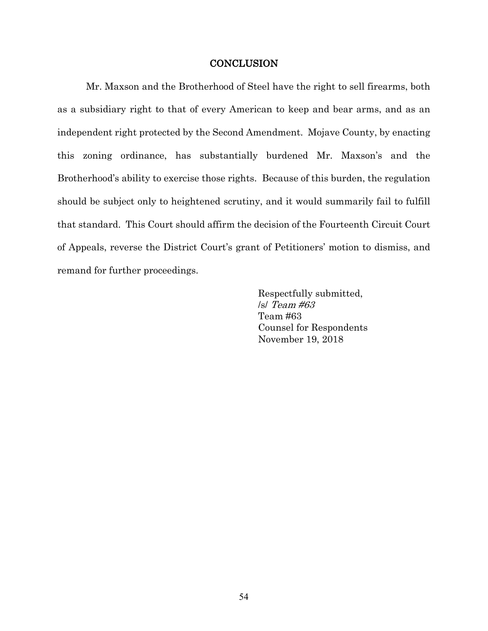#### **CONCLUSION**

Mr. Maxson and the Brotherhood of Steel have the right to sell firearms, both as a subsidiary right to that of every American to keep and bear arms, and as an independent right protected by the Second Amendment. Mojave County, by enacting this zoning ordinance, has substantially burdened Mr. Maxson's and the Brotherhood's ability to exercise those rights. Because of this burden, the regulation should be subject only to heightened scrutiny, and it would summarily fail to fulfill that standard. This Court should affirm the decision of the Fourteenth Circuit Court of Appeals, reverse the District Court's grant of Petitioners' motion to dismiss, and remand for further proceedings.

> Respectfully submitted, /s/ Team #63 Team #63 Counsel for Respondents November 19, 2018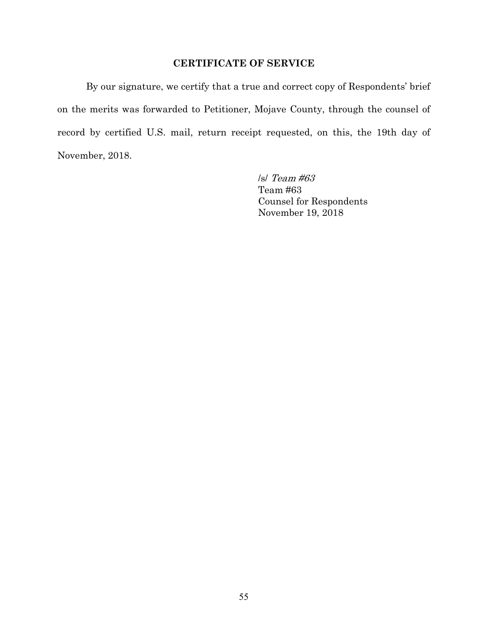## **CERTIFICATE OF SERVICE**

By our signature, we certify that a true and correct copy of Respondents' brief on the merits was forwarded to Petitioner, Mojave County, through the counsel of record by certified U.S. mail, return receipt requested, on this, the 19th day of November, 2018.

> /s/ Team #63 Team #63 Counsel for Respondents November 19, 2018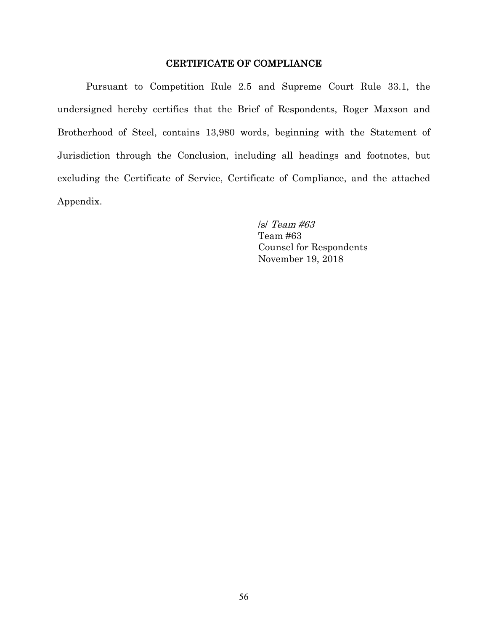## CERTIFICATE OF COMPLIANCE

Pursuant to Competition Rule 2.5 and Supreme Court Rule 33.1, the undersigned hereby certifies that the Brief of Respondents, Roger Maxson and Brotherhood of Steel, contains 13,980 words, beginning with the Statement of Jurisdiction through the Conclusion, including all headings and footnotes, but excluding the Certificate of Service, Certificate of Compliance, and the attached Appendix.

> /s/ Team #63 Team #63 Counsel for Respondents November 19, 2018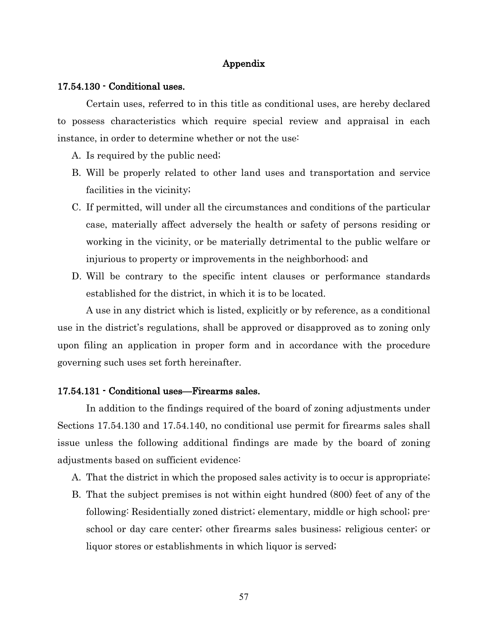#### Appendix

#### 17.54.130 - Conditional uses.

Certain uses, referred to in this title as conditional uses, are hereby declared to possess characteristics which require special review and appraisal in each instance, in order to determine whether or not the use:

- A. Is required by the public need;
- B. Will be properly related to other land uses and transportation and service facilities in the vicinity;
- C. If permitted, will under all the circumstances and conditions of the particular case, materially affect adversely the health or safety of persons residing or working in the vicinity, or be materially detrimental to the public welfare or injurious to property or improvements in the neighborhood; and
- D. Will be contrary to the specific intent clauses or performance standards established for the district, in which it is to be located.

A use in any district which is listed, explicitly or by reference, as a conditional use in the district's regulations, shall be approved or disapproved as to zoning only upon filing an application in proper form and in accordance with the procedure governing such uses set forth hereinafter.

#### 17.54.131 - Conditional uses—Firearms sales.

In addition to the findings required of the board of zoning adjustments under Sections 17.54.130 and 17.54.140, no conditional use permit for firearms sales shall issue unless the following additional findings are made by the board of zoning adjustments based on sufficient evidence:

- A. That the district in which the proposed sales activity is to occur is appropriate;
- B. That the subject premises is not within eight hundred (800) feet of any of the following: Residentially zoned district; elementary, middle or high school; preschool or day care center; other firearms sales business; religious center; or liquor stores or establishments in which liquor is served;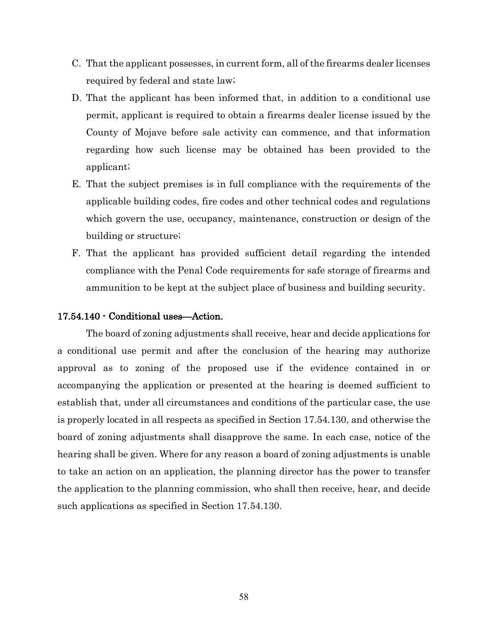- C. That the applicant possesses, in current form, all of the firearms dealer licenses required by federal and state law;
- D. That the applicant has been informed that, in addition to a conditional use permit, applicant is required to obtain a firearms dealer license issued by the County of Mojave before sale activity can commence, and that information regarding how such license may be obtained has been provided to the applicant;
- E. That the subject premises is in full compliance with the requirements of the applicable building codes, fire codes and other technical codes and regulations which govern the use, occupancy, maintenance, construction or design of the building or structure;
- F. That the applicant has provided sufficient detail regarding the intended compliance with the Penal Code requirements for safe storage of firearms and ammunition to be kept at the subject place of business and building security.

#### 17.54.140 - Conditional uses—Action.

The board of zoning adjustments shall receive, hear and decide applications for a conditional use permit and after the conclusion of the hearing may authorize approval as to zoning of the proposed use if the evidence contained in or accompanying the application or presented at the hearing is deemed sufficient to establish that, under all circumstances and conditions of the particular case, the use is properly located in all respects as specified in Section 17.54.130, and otherwise the board of zoning adjustments shall disapprove the same. In each case, notice of the hearing shall be given. Where for any reason a board of zoning adjustments is unable to take an action on an application, the planning director has the power to transfer the application to the planning commission, who shall then receive, hear, and decide such applications as specified in Section 17.54.130.